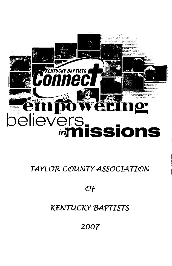

# TAYLOR COUNTY ASSOCIATION

# $OF$

# **KENTUCKY BAPTISTS**

2007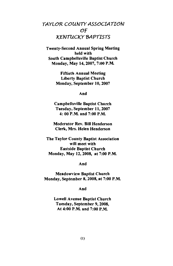## TAYLOR COUNTY ASSOCIATION OF **KENTUCKY BAPTISTS**

**Twenty-Second Annual Spring Meeting** held with South Campbellsville Baptist Church Monday, May 14, 2007, 7:00 P.M.

> **Fiftieth Annual Meeting Liberty Baptist Church** Monday, September 10, 2007

> > And

**Campbellsville Baptist Church** Tuesday, September 11, 2007 4: 00 P.M. and 7:00 P.M.

**Moderator Rev. Bill Henderson** Clerk, Mrs. Helen Henderson

The Taylor County Baptist Association will meet with **Eastside Baptist Church** Monday, May 12, 2008, at 7:00 P.M.

And

**Meadowview Baptist Church** Monday, September 8, 2008, at 7:00 P.M.

And

**Lowell Avenue Baptist Church** Tuesday, September 9, 2008. At 4:00 P.M. and 7:00 P.M.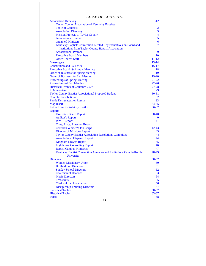## *TABLE OF CONTENTS*

| <b>Association Directory</b>                                                       | $1 - 12$                |
|------------------------------------------------------------------------------------|-------------------------|
| Taylor County Association of Kentucky Baptists                                     | 1                       |
| <b>Table of Contents</b>                                                           | $\overline{c}$          |
| <b>Association Directory</b>                                                       | $\overline{3}$          |
| <b>Mission Projects of Taylor County</b>                                           | $\overline{\mathbf{4}}$ |
| <b>Associational Teams</b>                                                         | 5                       |
| <b>Ordained Ministers</b>                                                          | 6                       |
| Kentucky Baptists Convention Elected Representatives on Board and                  | 7                       |
| <b>Institutions from Taylor County Baptist Association</b>                         |                         |
| <b>Associational Pastors</b>                                                       | 8-9                     |
| <b>Executive Board Members</b>                                                     | 10                      |
| <b>Other Church Staff</b>                                                          | $11 - 12$               |
| <b>Messengers</b>                                                                  | $13 - 14$               |
| <b>Constitution and By-Laws</b>                                                    | $15 - 17$               |
| Executive Board & Annual Meetings                                                  | 18                      |
| <b>Order of Business for Spring Meeting</b>                                        | 19                      |
| <b>Order of Business for Fall Meeting</b>                                          | $19 - 20$               |
| Proceedings of Spring Meeting                                                      | $21 - 22$               |
| <b>Proceedings of Fall Meeting</b>                                                 | $22 - 26$               |
| <b>Historical Events of Churches 2007</b>                                          | $27 - 28$               |
| In Memoriam                                                                        | 29                      |
| <b>Taylor County Baptist Associational Proposed Budget</b>                         | $30 - 31$               |
| <b>Church Contributions</b>                                                        | 32                      |
| <b>Funds Designated for Russia</b>                                                 | 33                      |
| <b>Map Insert</b>                                                                  | $34 - 35$               |
| Letter from Nickolai Syrovatko                                                     | $36 - 37$               |
| <b>Reports</b>                                                                     |                         |
| <b>Executive Board Report</b>                                                      | 38-40                   |
| <b>Auditor's Report</b>                                                            | 40                      |
| <b>WMU Report</b>                                                                  | 41                      |
| Time, Place, Preacher Report                                                       | 41                      |
| <b>Christian Women's Job Corps</b>                                                 | $42 - 43$               |
|                                                                                    | 43                      |
| <b>Director of Missions Report</b>                                                 | 44                      |
| <b>Taylor County Baptist Association Resolutions Committee</b>                     | 44                      |
| <b>Associational Hispanic Report</b>                                               | 45                      |
| <b>Kingdom Growth Report</b>                                                       | 46                      |
| <b>Lighthouse Counseling Report</b>                                                |                         |
| <b>Baptist Campus Ministries</b>                                                   | 47                      |
| Kentucky Baptist Convention Agencies and Institutions Campbellsville<br>University | 48-49                   |
| <b>Directors</b>                                                                   | 50-57                   |
| <b>Women Missionary Union</b>                                                      | 50                      |
| <b>Brotherhood Directors</b>                                                       | 51                      |
| <b>Sunday School Directors</b>                                                     | 52                      |
| <b>Chairmen of Deacons</b>                                                         | 53                      |
| <b>Music Directors</b>                                                             | 54                      |
| <b>Treasurers</b>                                                                  | 55                      |
| <b>Clerks of the Association</b>                                                   | 56                      |
| <b>Discipleship Training Directors</b>                                             | 57                      |
| <b>Statistical Tables</b>                                                          | 58-62                   |
| <b>Historical Tables</b>                                                           | 63-67                   |
| <b>Index</b>                                                                       | 68                      |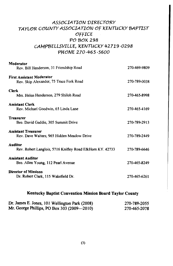## ASSOCIATION DIRECTORY TAYLOR COUNTY ASSOCIATION OF KENTUCKY BAPTIST OFFICE PO BOX 298 CAMPBELLSVILLE, KENTUCKY 42719-0298 PHONE 270-465-5600

| Moderator<br>Rev. Bill Henderson, 31 Friendship Road                        | 270-469-9809 |
|-----------------------------------------------------------------------------|--------------|
| <b>First Assistant Moderator</b><br>Rev. Skip Alexander, 75 Trace Fork Road | 270-789-0038 |
| <b>Clerk</b><br>Mrs. Helen Henderson, 279 Shiloh Road                       | 270-465-8998 |
| <b>Assistant Clerk</b><br>Rev. Michael Goodwin, 65 Linda Lane               | 270-465-4169 |
| Treasurer<br>Bro. David Gaddie, 305 Summit Drive                            | 270-789-2913 |
| <b>Assistant Treasurer</b><br>Rev. Dave Walters, 965 Hidden Meadow Drive    | 270-789-2449 |
| <b>Auditor</b><br>Rev. Robert Langlois, 5716 Knifley Road ElkHorn KY. 42733 | 270-789-6646 |
| <b>Assistant Auditor</b><br>Bro. Allen Young, 112 Pearl Avenue              | 270-465-8249 |
| <b>Director of Missions</b><br>Dr. Robert Clark, 115 Wakefield Dr.          | 270-465-6261 |

### Kentucky Baptist Convention Mission Board Taylor County

| Dr. James E. Jones, 101 Wellington Park (2008) | 270-789-2055 |
|------------------------------------------------|--------------|
| Mr. George Phillips, PO Box 303 (2009—2010)    | 270-465-2078 |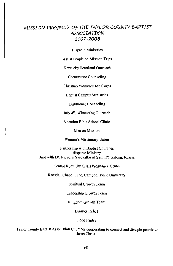## MISSION PROTECTS OF THE TAYLOR COUNTY BAPTIST **ASSOCIATION** 2007~2008

**Hispanic Ministries** 

**Assist People on Mission Trips** 

Kentucky Heartland Outreach

**Cornerstone Counseling** 

Christian Women's Job Corps

**Baptist Campus Ministries** 

Lighthouse Counseling

July 4<sup>th</sup>, Witnessing Outreach

Vacation Bible School Clinic

Men on Mission

Women's Missionary Union

Partnership with Baptist Churches **Hispanic Ministry** And with Dr. Nickolai Syrovatko in Saint Petersburg, Russia

Central Kentucky Crisis Pregnancy Center

Ransdall Chapel Fund, Campbellsville University

Spiritual Growth Team

Leadership Growth Team

Kingdom Growth Team

**Disaster Relief** 

Food Pantry

Taylor County Baptist Association Churches cooperating to connect and disciple people to Jesus Christ.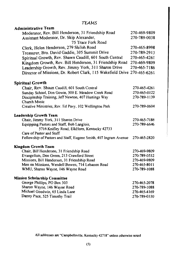## **TEAMS**

| <b>Administrative Team</b>                                                  |              |
|-----------------------------------------------------------------------------|--------------|
| Moderator, Rev. Bill Henderson, 31 Friendship Road                          | 270-469-9809 |
| Assistant Moderator, Dr. Skip Alexander,                                    | 270-789-0038 |
| 75 Trace Fork Road                                                          |              |
| Clerk, Helen Henderson, 279 Shiloh Road                                     | 270-465-8998 |
| Treasurer, Bro. David Gaddie, 305 Summit Drive                              | 270-789-2913 |
| Spiritual Growth, Rev. Shawn Caudill, 601 South Central                     | 270-465-4261 |
| Kingdom Growth, Rev. Bill Henderson, 31 Friendship Road                     | 270-469-9809 |
| Leadership Growth, Rev. Jimmy York, 311 Sharon Drive                        | 270-465-7186 |
| Director of Missions, Dr. Robert Clark, 115 Wakefield Drive 270-465-6261    |              |
| <b>Spiritual Growth</b>                                                     |              |
| Chair, Rev. Shaun Caudill, 601 South Central                                | 270-465-4261 |
| Sunday School, Don Gowin, 500 E. Meadow Creek Road                          | 270-465-0122 |
| Discipleship Training, Jeff Newton, 407 Hastings Way<br><b>Church Music</b> | 270-789-1139 |
| Creative Ministries, Rev. Ed Pavy, 102 Wellington Park                      | 270-789-0604 |
| Leadership Growth Team                                                      |              |
| Chair, Jimmy York, 311 Sharon Drive                                         | 270-465-7186 |
| Equipping Pastors and Staff, Bob Langlois,                                  | 270-789-6646 |
| 5716 Knifley Road, ElkHorn, Kentucky 42733                                  |              |
| Care of Pastor and Staff                                                    |              |
| Fellowship of Pastors and Staff, Eugene Smith, 407 Ingram Avenue            | 270-465-2820 |
| <b>Kingdom Growth Team</b>                                                  |              |
| Chair, Bill Henderson, 31 Friendship Road                                   | 270-469-9809 |
| Evangelism, Don Green, 213 Crawford Street                                  | 270-789-0532 |
| Missions, Bill Henderson, 31 Friendship Road                                | 270-469-9809 |
| Men on Missions, Wendell Bowen, 714 Lebanon Road                            | 270-465-8011 |
| WMU, Sharon Wayne, 146 Wayne Road                                           | 270-789-1088 |
| <b>Mission Scholarship Committee</b>                                        |              |
| George Phillips, PO Box 303                                                 | 270-465-2078 |
| Sharon Wayne, 146 Wayne Road                                                | 270-789-1088 |
| Michael Goodwin, 65 Linda Lane                                              | 270-465-4169 |
| Danny Pace, 525 Timothy Trail                                               | 270-789-0330 |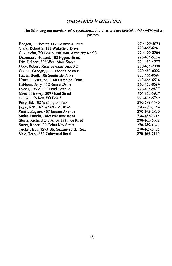## ORDAINED MINISTERS

The following are members of Associational churches and are presently not employed as pastors.

| Badgett, J. Chester, 112 Columbia Court       | 270-465-5023 |
|-----------------------------------------------|--------------|
| Clark, Robert S, 115 Wakefield Drive          | 270-465-6261 |
| Cox, Keith, PO Box 8, ElkHorn, Kentucky 42733 | 270-465-8209 |
| Davenport, Howard, 102 Eggers Street          | 270-465-5114 |
| Dix, Delbert, 822 West Main Street            | 270-465-4777 |
| Doty, Robert, Risen Avenue, Apt. # 5          | 270-465-2008 |
| Gaddie, George, 636 Lebanon Avenue            | 270-465-6002 |
| Hayes, Buell, 106 Southside Drive             | 270-465-8594 |
| Howell, Dewayne, 1108 Hampton Court           | 270-465-6634 |
| Kibbons, Jerry, 112 Sunset Drive              | 270-465-8089 |
| Lyons, David, 111 Pearl Avenue                | 270-465-9477 |
| Meece, Drewry, 309 Grant Street               | 270-465-5927 |
| Oldham, Robert, PO Box 5                      | 270-465-6759 |
| Pavy, Ed. 102 Wellington Park                 | 270-789-1580 |
| Pope, Ken, 102 Wakefield Drive                | 270-789-3354 |
| Smith, Eugene, 407 Ingram Avenue              | 270-465-2820 |
| Smith, Harold, 1449 Palestine Road            | 270-465-7715 |
| Steele, Richard and Alice, 133 Noe Road       | 270-465-6009 |
| Street, Robert, 30 Debra Kay Street           | 270-789-1620 |
| Tucker, Bob, 2293 Old Summersville Road       | 270-465-5007 |
| Vale, Terry, 383 Cainwood Road                | 270-465-7112 |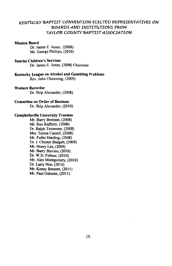### KENTUCKY BAPTIST CONVENTION ELECTED REPRESENTATIVES ON BOARDS AND INSTITUTIONS FROM TAYLOR COUNTY BAPTIST ASSOCIATION

#### **Mission Board**

Dr. James E. Jones, (2008) Mr. George Phillips. (2010)

### **Sunrise Children's Services**

Dr. James E. Jones, (2008) Chairman

### Kentucky League on Alcohol and Gambling Problems

Rev. John Chowning, (2009)

#### **Western Recorder**

Dr. Skip Alexander, (2008)

#### **Committee on Order of Business**

Dr. Skip Alexander, (2010)

### **Campbellsville University Trustees**

Mr. Barry Bertram, (2008) Mr. Ron Rafferty, (2008) Dr. Ralph Tesseneer, (2008) Mrs. Teresa Cassell, (2008) Mr. Fuller Harding, (2008) Dr. J. Chester Badgett, (2009) Mr. Henry Lee, (2009) Mr. Barry Blevins, (2010) Dr. W.D. Feltner, (2010) Mr. Alex Montgomery, (2010) Dr. Larry Noe, (2010) Mr. Kenny Bennett, (2011) Mr. Paul Osborne, (2011)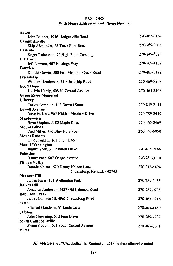### **PASTORS** With Home Addresses and Phone Number

| Acton                                                  |              |
|--------------------------------------------------------|--------------|
| John Batcher, 4936 Hodgenville Road                    | 270-465-3462 |
| Campbellsville                                         |              |
| Skip Alexander, 75 Trace Fork Road                     | 270-789-0038 |
| Eastside                                               |              |
| Roger Robertson, 75 High Point Crossing                | 270-849-8829 |
| <b>Elk Horn</b>                                        |              |
| Jeff Newton, 407 Hastings Way                          | 270-789-1139 |
| Fairview                                               |              |
| Donald Gowin, 500 East Meadow Creek Road               | 270-465-0122 |
| Friendship                                             |              |
| William Henderson, 31 Friendship Road                  | 270-469-9809 |
| <b>Good Hope</b>                                       |              |
| J. Alvin Hardy, 608 N. Central Avenue                  | 270-465-3268 |
| <b>Green River Memorial</b>                            |              |
| Liberty                                                |              |
| Carlos Compton, 405 Dowell Street                      | 270-849-2131 |
| <b>Lowell Avenue</b>                                   |              |
| Dave Walters, 965 Hidden Meadow Drive                  | 270-789-2449 |
| Meadowview                                             |              |
| Brent Gupton, 3180 Maple Road                          | 270-465-2469 |
| <b>Mount Gilboa</b><br>Fred Miller, 350 Blue Hole Road | 270-465-6050 |
| Mount Roberts                                          |              |
| Kyle Franklin, 161 Snow Lane                           |              |
| <b>Mount Washington</b>                                |              |
| Jimmy York, 311 Sharon Drive                           | 270-465-7186 |
| <b>Palestine</b>                                       |              |
| Danny Pace, 607 Osage Avenue                           | 270-789-0330 |
| Pitman Valley                                          |              |
| Dannie Nelson, 670 Danny Nelson Lane,                  | 270-932-5494 |
| Greensburg, Kentucky 42743                             |              |
| Pleasant Hill                                          |              |
| James Jones, 101 Wellington Park                       | 270-789-2055 |
| Raikes Hill                                            |              |
| Jonathan Anderson, 7439 Old Lebanon Road               | 270-789-9235 |
| Robinson Creek                                         |              |
| James Collison III, 4965 Greensburg Road               | 270-465-3215 |
| Salem                                                  |              |
| Michael Goodwin, 65 Linda Lane                         | 270-465-4169 |
| Saloma                                                 |              |
| John Chowning, 512 Fern Drive                          | 270-789-2707 |
| South Campbellsville                                   |              |
| Shaun Caudill, 601 South Central Avenue                | 270-465-0081 |
| Yuma                                                   |              |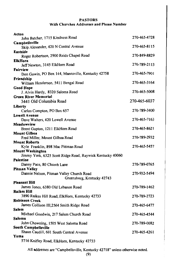### **PASTORS** With Churches Addresses and Phone Number

| Acton                                                         |              |
|---------------------------------------------------------------|--------------|
| John Batcher, 1715 Kindness Road                              | 270-465-4728 |
| Campbellsville                                                |              |
| Skip Alexander, 420 N Central Avenue                          | 270-465-8115 |
| <b>Eastside</b>                                               |              |
| Roger Robertson, 2900 Reids Chapel Road                       | 270-849-8829 |
| <b>ElkHorn</b>                                                | 270-789-2113 |
| Jeff Newton, 3145 ElkHorn Road                                |              |
| Fairview<br>Don Gowin, PO Box 144, Mannsville, Kentucky 42758 | 270-465-7901 |
|                                                               |              |
| Friendship<br>William Henderson, 5411 Bengal Road             | 270-465-3164 |
| <b>Good Hope</b>                                              |              |
| J. Alvin Hardy, 8320 Saloma Road                              | 270-465-5008 |
| <b>Green River Memorial</b>                                   |              |
| 3441 Old Columbia Road                                        | 270-465-6037 |
| Liberty                                                       |              |
| Carlos Compton, PO Box 657                                    | 270-789-3400 |
| <b>Lowell Avenue</b>                                          |              |
| Dave Walters, 420 Lowell Avenue                               | 270-465-7163 |
| Meadowview                                                    |              |
| Brent Gupton, 1211 ElkHorn Road                               | 270-465-8621 |
| <b>Mount Gilboa</b>                                           |              |
| Fred Miller, Mount Gilboa Road                                | 270-789-2932 |
| <b>Mount Roberts</b>                                          |              |
| Kyle Franklin, 898 Mac Pittman Road                           | 270-465-5457 |
| <b>Mount Washington</b>                                       |              |
| Jimmy York, 6325 Scott Ridge Road, Raywick Kentucky 40060     |              |
| <b>Palestine</b>                                              |              |
| Danny Pace, 80 Church Lane<br><b>Pitman Valley</b>            | 270-789-0765 |
| Dannie Nelson, Pitman Valley Church Road                      | 270-932-5494 |
| Greensburg, Kentucky 42743                                    |              |
| <b>Pleasant Hill</b>                                          |              |
| James Jones, 6380 Old Lebanon Road                            | 270-789-1462 |
| <b>Raikes Hill</b>                                            |              |
| 3890 Raikes Hill Road, ElkHorn, Kentucky 42733                | 270-789-2723 |
| <b>Robinson Creek</b>                                         |              |
| James Collison III,2564 Smith Ridge Road                      | 270-465-6477 |
| <b>Salem</b>                                                  |              |
| Michael Goodwin, 217 Salem Church Road                        | 270-465-4544 |
| Saloma                                                        |              |
| John Chowning, 1505 West Saloma Road                          | 270-789-0082 |
| South Campbellsville                                          |              |
| Shaun Caudill, 601 South Central Avenue                       | 270-465-4261 |
| Yuma                                                          |              |
| 5716 Knifley Road, ElkHorn, Kentucky 42733                    |              |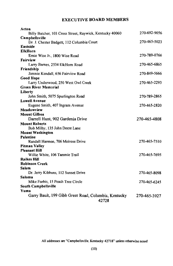## **EXECUTIVE BOARD MEMBERS**

| Acton                                                         |              |
|---------------------------------------------------------------|--------------|
| Billy Batcher, 103 Cross Street, Raywick, Kentucky 40060      | 270-692-9056 |
| Campbellsville                                                |              |
| Dr. J. Chester Badgett, 112 Columbia Court                    | 270-465-5023 |
| Eastside                                                      |              |
| <b>ElkHorn</b>                                                |              |
| Ernie Wise Jr., 1800 Wise Road                                | 270-789-0766 |
| Fairview                                                      |              |
| Larry Barnes, 2534 ElkHorn Road                               | 270-465-6865 |
| Friendship                                                    |              |
| Jimmie Kendall, 656 Fairview Road                             | 270-849-5666 |
| <b>Good Hope</b>                                              |              |
| Larry Underwood, 250 West Owl Creek                           | 270-465-2293 |
| <b>Green River Memorial</b>                                   |              |
| Liberty                                                       |              |
| John Smith, 5075 Spurlington Road                             | 270-789-2865 |
| <b>Lowell Avenue</b>                                          |              |
| Eugene Smith, 407 Ingram Avenue                               | 270-465-2820 |
| Meadowview                                                    |              |
| <b>Mount Gilboa</b>                                           |              |
| Darrell Hunt, 902 Gardenia Drive                              | 270-465-4808 |
| <b>Mount Roberts</b>                                          |              |
| Bob Milby, 135 John Deere Lane                                |              |
| <b>Mount Washington</b>                                       |              |
| Palestine                                                     |              |
| Randall Harmon, 706 Melrose Drive                             | 270-465-7510 |
| <b>Pitman Valley</b>                                          |              |
| <b>Pleasant Hill</b>                                          |              |
| Willie White, 106 Tammie Trail                                | 270-465-7695 |
| <b>Raikes Hill</b>                                            |              |
| <b>Robinson Creek</b>                                         |              |
| Salem                                                         |              |
| Dr. Jerry Kibbons, 112 Sunset Drive                           | 270-465-8098 |
| <b>Saloma</b>                                                 |              |
| Mike Forbis, 15 Peach Tree Circle                             | 270-465-6245 |
| South Campbellsville                                          |              |
| Yuma                                                          |              |
| Garry Bault, 199 Gibb Greer Road, Columbia, Kentucky<br>42728 | 270-465-3927 |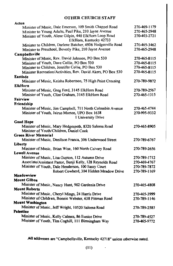### **OTHER CHURCH STAFF**

| Acton                                                                         |              |
|-------------------------------------------------------------------------------|--------------|
| Minister of Music, Dale Emerson, 109 Smith Chappel Road                       | 270-469-1179 |
| Minister to Young Adults, Paul Pike, 210 Jayne Avenue                         | 270-465-2948 |
| Minister of Youth, Alene Gilpin, 440 ElkHorn Loop Road                        | 270-403-2721 |
| ElkHorn, Kentucky 42733                                                       |              |
| Minister to Children, Darlene Batcher, 4936 Hodgenville Road                  | 270-465-3462 |
| Minister to Preschool, Beverly Pike, 210 Jayne Avenue                         | 270-465-2948 |
| Campbellsville                                                                |              |
| Minister of Music, Rev. David Johnson, PO Box 530                             | 270-465-8115 |
| Minister of Youth, Dave Collie, PO Box 530                                    | 270-465-8115 |
| Minister to Children, Jennifer Collie, PO Box 530                             | 270-465-8115 |
| Minister Recreation/Activities, Rev. David Akers, PO Box 530                  | 270-465-8115 |
| Eastisde                                                                      |              |
| Minister of Music, Keisha Robertson, 75 High Point Crossing                   | 270-789-9872 |
| <b>ElkHorn</b>                                                                |              |
| Minister of Music, Greg Ford, 3145 ElkHorn Road                               | 270-789-2567 |
| Minister of Youth, Clint Graham, 3145 ElkHorn Road                            | 270-465-1315 |
| <b>Fairview</b>                                                               |              |
| Friendship                                                                    |              |
| Minister of Music, Jim Campbell, 711 North Columbia Avenue                    | 270-465-4744 |
| Minister of Youth, Jairus Murton, UPO Box 1638                                | 270-995-9332 |
| 1 University Drive                                                            |              |
| <b>Good Hope</b>                                                              |              |
| Minister of Music, Mary Hedgespeth, 8320 Saloma Road                          | 270-465-8905 |
| Minister of Youth/Children, Daniel Cook                                       |              |
| <b>Green River Memorial</b>                                                   |              |
| Minister of Music, Denilson Franca, 306 Underwood Street                      |              |
| Liberty                                                                       | 270-789-6767 |
|                                                                               |              |
| Minister of Music, Brian Wise, 160 North Calvary Road<br><b>Lowell Avenue</b> | 270-789-2656 |
|                                                                               |              |
| Minister of Music., Lisa Gupton, 112 Autumn Drive                             | 270-789-1712 |
| Associate/Assistant Pastor, Benji Kelly, 128 Reynolds Road                    | 270-469-4767 |
| Minister of Youth, Dale Henderson, 100 Sassy Court                            | 270-789-7872 |
| Robert Cowherd, 304 Hidden Meadow Drive                                       | 270-789-1169 |
| Meadowview                                                                    |              |
| <b>Mount Gilboa</b>                                                           |              |
| Minister of Music, Nancy Hunt, 902 Gardenia Drive                             | 270-465-4808 |
| <b>Mount Roberts</b>                                                          |              |
| Minister of Music, Cheryl Mings, 24 Harris Drive                              | 270-465-3999 |
| Minister of Children, Bonnie Webster, 638 Pittman Road                        | 270-789-1146 |
| <b>Mount Washington</b>                                                       |              |
| Minister of Music, Jeff Wright, 10520 Saloma Road                             | 270-789-2585 |
| Palestine                                                                     |              |
| Minister of Music, Kelly Calmes, 86 Eunice Drive                              | 270-789-4527 |
| Minister of Youth, Tim Coghill, 111 Birmingham Way                            | 270-465-9772 |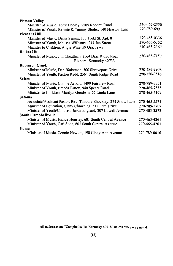| Pitman Valley                                                    |              |
|------------------------------------------------------------------|--------------|
| Minister of Music, Terry Dooley, 2505 Roberts Road               | 270-465-2350 |
| Minister of Youth, Bermie & Tammy Sluder, 140 Newton Lane        | 270-789-6991 |
| <b>Pleasant Hill</b>                                             |              |
| Minister of Music, Denis Santos, 100 Todd St. Apt. 8             | 270-465-0336 |
| Minister of Youth, Melissa Williams, 244 Jan Street              | 270-465-6352 |
| Minister to Children, Angie Wise, 59 Oak Trace                   | 270-465-2367 |
| <b>Raikes Hill</b>                                               |              |
| Minister of Music, Jim Cheatham, 3564 Bass Ridge Road,           | 270-465-7159 |
| Elkhorn, Kentucky 42733                                          |              |
| <b>Robinson Creek</b>                                            |              |
| Minister of Music, Dan Blakeman, 300 Shreveport Drive            | 270-789-3908 |
| Minister of Youth, Paxton Redd, 2564 Smith Ridge Road            | 270-350-0516 |
| Salem                                                            |              |
| Minister of Music, Connie Arnold, 1499 Fairview Road             | 270-789-3351 |
| Minister of Youth, Brenda Patton, 940 Spears Road                | 270-465-7835 |
| Minister to Children, Marilyn Goodwin, 65 Linda Lane             | 270-465-4169 |
| Saloma                                                           |              |
| Associate/Assistant Pastor, Rev. Timothy Shockley, 274 Snow Lane | 270-465-5571 |
| Minister of Education, Cathy Chowning, 512 Fern Drive            | 270-789-2707 |
| Minister of Youth/Children, Jason England, 307 Lowell Avenue     | 270-403-3373 |
| South Campbellsville                                             |              |
| Minister of Music, Joshua Hensley, 601 South Central Avenue      | 270-465-4261 |
| Minister of Youth, Carl Sode, 601 South Central Avenue           | 270-465-4261 |
| Yuma                                                             |              |
| Minister of Music, Connie Newton, 190 Cindy Ann Avenue           | 270-789-0016 |
|                                                                  |              |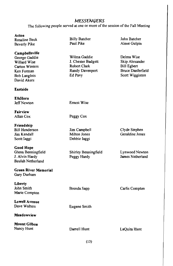### MESSENGERS

The following people served at one or more of the session of the Fall Meeting

Acton

**Rosaline Beck Beverly Pike** 

#### Campbellsville

George Gaddie Willard Wise Carton Winters Ken Forman **Bob Langlois** David Akers

### **Eastside**

**ElkHorn Jeff Newton** 

Fairview Allan Cox

Friendship **Bill Henderson** Jim Kendall Scott Jaggi

**Good Hope** Glenn Benningfield J. Alvin Hardy Beulah Netherland

## **Green River Memorial**

Gary Durham

Liberty John Smith Marie Compton

**Lowell Avenue** 

Dave Walters

Meadowview

**Mount Gilboa** Nancy Hunt

**Billy Batcher** Paul Pike

Wilma Gaddie J. Chester Badgett Robert Clark Randy Davenport Ed Pavv

John Batcher Alene Gulpin

Delma Wise Skip Alexander **Bill Egbert Bruce Danferfield** Scott Wigginton

**Ernest Wise** 

Peggy Cox

Jim Campbell Milton Jones Debbie laggi

Shirley Benningfield Peggy Hardy

Clyde Stephen Geraldine Jones

Lynwood Newton James Netherland

Carlis Compton

Eugene Smith

Brenda Sapp

Darrell Hunt

LaQuita Hunt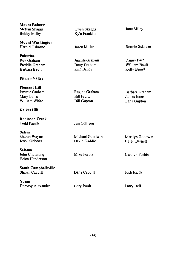| <b>Mount Roberts</b><br>Melvin Skaggs<br><b>Bobby Milby</b>                                 | Gwen Skaggs<br>Kyle Franklin                              | Jane Milby                                   |
|---------------------------------------------------------------------------------------------|-----------------------------------------------------------|----------------------------------------------|
| <b>Mount Washington</b><br>Harold Osborne                                                   | <b>Jason Miller</b>                                       | Ronnie Sullivan                              |
| <b>Palestine</b><br>Roy Graham<br>Freddie Graham<br>Barbara Bault                           | Juanita Graham<br><b>Betty Graham</b><br>Kim Bailey       | Danny Pace<br>William Bault<br>Kelly Brand   |
| Pitman Valley                                                                               |                                                           |                                              |
| <b>Pleasant Hill</b><br>Jimmie Graham<br>Mary Lollar<br>William White<br><b>Raikes Hill</b> | Regina Graham<br><b>Bill Pruitt</b><br><b>Bill Gupton</b> | Barbara Graham<br>James Jones<br>Lana Gupton |
|                                                                                             |                                                           |                                              |
| <b>Robinson Creek</b><br><b>Todd Parish</b>                                                 | Jim Collison                                              |                                              |
| Salem<br>Sharon Wayne<br>Jerry Kibbons                                                      | Michael Goodwin<br>David Gaddie                           | Marilyn Goodwin<br><b>Helen Barnett</b>      |
| <b>Saloma</b><br>John Chowning<br>Helen Henderson                                           | Mike Forbis                                               | Carolyn Forbis                               |
| <b>South Campbellsville</b><br>Shawn Caudill                                                | Dana Caudill                                              | Josh Hardy                                   |
| Yuma<br>Dorothy Alexander                                                                   | Gary Bault                                                | Larry Bell                                   |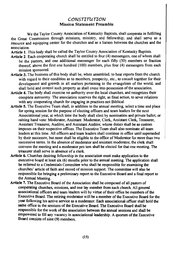### **CONSTITUTION Mission Statement Preamble**

We the Taylor County Association of Kentucky Baptists, shall cooperate in fulfilling the Great Commission through missions, ministry, and fellowship; and shall serve as a resource and equipping center for the churches and as a liaison between the churches and the association

Article 1. This body shall be called the Taylor County Association of Kentucky Baptists.

- Article 2. Each cooperating church shall be entitled to four (4) messengers, one of whom shall be the pastors, and one additional messenger for each fifty (50) members or fraction thereof, above the first one hundred  $(100)$  members, plus four  $(4)$  messengers from each mission sponsored.
- Article 3. The business of this body shall be, when assembled, to hear reports from the church with regard to their condition as to members, prosperity, etc., to consult together for their development and growth in all matters pertaining to the evangelism of the world, and shall hold and control such property as shall come into possession of the association.
- Article 4. The body shall exercise no authority over the local churches, and recognizes their complete autonomy. The association reserves the right, as final action, to sever relations with any cooperating church for engaging in practices not Biblical.
- Article 5. The Executive Team shall, in addition to the annual meeting, select a time and place for spring session for the purpose of electing officers and team leaders for the next Associational year, at which time the body shall elect by nomination and private ballot, or raising hand vote: Moderator, Assistant Moderator, Clerk, Assistant Clerk, Treasurer, Assistant Treasurer, Auditor, and Assistant Auditor, whose duties shall be as custom imposes on their respective offices. The Executive Team shall also nominate all team leaders at this time. All officers and team leaders shall continue in office until superseded by their successor, but none shall be eligible to the office of Moderator for more than two successive terms. In the absence of moderator and assistant moderator, the clerk shall convene the meeting and a moderator pro tem shall be elected for that one meeting. The treasurer shall serve in absence of a clerk.
- Article 6. Churches desiring fellowship in the association must make application to the executive board at least six (6) months prior to the annual meeting. The application shall be referred to a Credentials Committee who shall be responsible for examining the churches' article of faith and record of mission support. The committee will also be responsible for bringing a preliminary report to the Executive Board and a final report to the Annual Meeting.
- Article 7. The Executive Board of the Association shall be composed of all pastors of cooperating churches, missions, and one lay member from each church. All general associational officers and team leaders will by virtue of their office be members of the Executive Board. The retiring moderator will be a member of the Executive Board for the year following his active service as a moderator. Each associational officer shall hold the same office in the sessions of the Executive Board. The Executive Board shall be responsible for the work of the association between the annual sessions and shall be empowered to fill any vacancy in associational leadership. A quorum of the Executive Board consists of nine (9) members.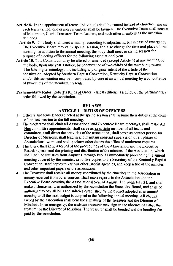- Article 8. In the appointment of teams, individuals shall be named instead of churches, and on each team named, one or more members shall be laymen. The Executive Team shall consist of Moderator, Clerk, Treasurer, Team Leaders, and such other members as the occasion demands.
	- Article 9. This body shall meet annually, according to adjustment, but in case of emergency, The Executive Board may call a special session, and also change the time and place of the meeting. In addition to the annual meeting, the body shall meet in spring session for purpose of electing officers for the following associational year.
- Article 10. This Constitution may be altered or amended (except Article 4) at any meeting of the body, upon one year's notice, by concurrence of two-thirds of the members present. The labeling terminology, not including any original intent of the article of the constitution, adopted by Southern Baptist Convention, Kentucky Baptist Convention, and/or this association may be incorporated by vote at an annual meeting by a concurrence of two-thirds of the members presents.
- Parliamentary Rules: Robert's Rules of Order (latest edition) is a guide of the parliamentary order followed by the association.

#### **BYLAWS ARTICLE 1-DUTIES OF OFFICERS**

- 1. Officers and team leaders elected at the spring session shall assume their duties at the close of the last session in the fall meeting.
- 2. The moderator shall chair all Associational and Executive Board meetings, shall make Ad Hoc committee appointments; shall serve as ex officio member of all teams and committee, shall direct the activities of the association, shall serve as contact person for Director of Missions, shall lead in and maintain constant supervision of all phases of Associational work, and shall perform other duties the office of moderator requires.
- 3. The Clerk shall keep a record of the proceedings of the Association and the Executive Board; superintend the printing and distribution of the minutes of the Association, which shall include statistics from August 1 through July 31 immediately proceeding the annual meeting covered by the minutes, send five copies to the Secretary of the Kentucky Baptist Convention, send copies to various other Baptist agencies, and keep a file of the minutes and other important papers of the association.
- The Treasurer shall receive all money contributed by the churches to the Association or 4. money received from other sources, shall make reports to the Association and the Executive Board covering the Associational year of August 1 through July 31, and shall make disbursements as authorized by the Association the Executive Board, and shall be authorized to pay all bills and salaries established by the budget adopted at an annual meeting until the next budget is adopted at the following annual meeting. All checks issued by the association shall bear the signatures of the treasurer and the Director of Missions. In an emergency, the assistant treasurer may sign in the absence of either the treasurer or the Director of Missions. The treasurer shall be bonded and the bonding fee paid by the association.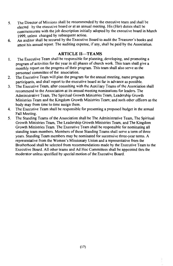- The Director of Missions shall be recommended by the executive team and shall be  $5<sub>1</sub>$ elected by the executive board or at an annual meeting. His (Her) duties shall be commensurate with the job description initially adopted by the executive board in March 1999, unless changed by subsequent action.
- An auditor shall be secured by the Executive Board to audit the Treasurer's books and 6. attest his annual report. The auditing expense, if any, shall be paid by the Association.

### **ARTICLE II-TEAMS**

- The Executive Team shall be responsible for planning, developing, and promoting a  $\mathbf{1}$ . program of activities for the year in all phases of church work. This team shall give a monthly report on the progress of their program. This team shall also serve as the personnel committee of the association.
- The Executive Team will plan the program for the annual meeting, name program  $2.$ participants, and shall report to the executive board as far in advance as possible.
- The Executive Team, after consulting with the Auxiliary Teams of the Association shall  $3<sub>1</sub>$ recommend to the Association at its annual meeting nominations for leaders. The Administrative Team, The Spiritual Growth Ministries Team, Leadership Growth Ministries Team and the Kingdom Growth Ministries Team; and such other officers as the body may from time to time assign them.
- The Executive Team shall be responsible for presenting a proposed budget in the annual  $\overline{\mathbf{4}}$ . Fall Meeting.
- The Standing Teams of the Association shall be The Administrative Team, The Spiritual  $5<sub>1</sub>$ Growth Ministries Team, The Leadership Growth Ministries Team, and The Kingdom Growth Ministries Team. The Executive Team shall be responsible for nominating all standing team members. Members of these Standing Teams shall serve a term of three years. Standing Team members may be nominated for successive three-year terms. A representative from the Women's Missionary Union and a representative from the Brotherhood shall be selected from recommendations made by the Executive Team to the Executive Board. All other teams and Ad Hoc Committees shall be appointed thru the moderator unless specified by special motion of the Executive Board.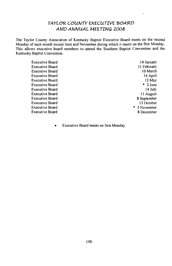## TAYLOR COUNTY EXECUTIVE BOARD AND ANNUAL MEETING 2008

 $\overline{a}$ 

The Taylor County Association of Kentucky Baptist Executive Board meets on the second Monday of each month except June and November during which it meets on the first Monday. This allows executive board members to attend the Southern Baptist Convention and the Kentucky Baptist Convention.

| <b>Executive Board</b> | 14 January   |
|------------------------|--------------|
| <b>Executive Board</b> | 11 February  |
| <b>Executive Board</b> | 10 March     |
| <b>Executive Board</b> | 14 April     |
| <b>Executive Board</b> | 12 May       |
| <b>Executive Board</b> | $*$ 2 June   |
| <b>Executive Board</b> | 14 July      |
| Executive Board        | 11 August    |
| <b>Executive Board</b> | 8 September  |
| <b>Executive Board</b> | 13 October   |
| <b>Executive Board</b> | * 3 November |
| <b>Executive Board</b> | 8 December   |
|                        |              |

Executive Board meets on first Monday  $\bullet$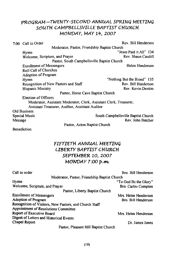## PROGRAM-TWENTY-SECOND ANNUAL SPRING MEETING SOUTH CAMPBELLSVILLE BAPTIST CHURCH MONDAY, MAY 14, 2007

|                                                 | 7:00 Call to Order                                                 | Rev. Bill Henderson                 |  |
|-------------------------------------------------|--------------------------------------------------------------------|-------------------------------------|--|
|                                                 | Moderator, Pastor, Friendship Baptist Church                       |                                     |  |
|                                                 | Hymn                                                               | "Jesus Paid it All" 134             |  |
|                                                 | Welcome, Scripture, and Prayer                                     | Rev. Shaun Caudill                  |  |
|                                                 | Pastor, South Campbells ville Baptist Church                       |                                     |  |
|                                                 | <b>Enrollment of Messengers</b>                                    | Helen Henderson                     |  |
|                                                 | <b>Roll Call of Churches</b>                                       |                                     |  |
|                                                 | Adoption of Program                                                |                                     |  |
|                                                 | Hymn                                                               | "Nothing But the Blood" 135         |  |
|                                                 | Recognition of New Pastors and Staff                               | Rev. Bill Henderson                 |  |
|                                                 | Hispanic Ministry                                                  | Rev. Kevin Denton                   |  |
|                                                 | Pastor, Horse Cave Baptist Church                                  |                                     |  |
|                                                 | Election of Officers                                               |                                     |  |
|                                                 | Moderator, Assistant Moderator, Clerk, Assistant Clerk, Treasurer, |                                     |  |
| Assistant Treasurer, Auditor, Assistant Auditor |                                                                    |                                     |  |
|                                                 | <b>Old Business</b>                                                |                                     |  |
|                                                 | Special Music                                                      | South Campbellsville Baptist Church |  |
| Message                                         |                                                                    | Rev. John Batcher                   |  |
|                                                 | Pastor, Acton Baptist Church                                       |                                     |  |

**Benediction** 

## FIFTIETH ANNUAL MEETING **LIBERTY BAPTIST CHURCH** SEPTEMBER 10, 2007 MONDAY 7:00 p.m.

| Call to order                                          | Bro. Bill Henderson   |
|--------------------------------------------------------|-----------------------|
| Moderator, Pastor, Friendship Baptist Church           |                       |
| Hymn                                                   | "To God Be the Glory" |
| Welcome, Scripture, and Prayer                         | Bro. Carlos Compton   |
| Pastor, Liberty Baptist Church                         |                       |
| <b>Enrollment of Messengers</b>                        | Mrs. Helen Henderson  |
| Adoption of Program                                    | Bro. Bill Henderson   |
| Recognition of Visitors, New Pastors, and Church Staff |                       |
| Appointment of Resolutions Committee                   |                       |
| Report of Executive Board                              | Mrs. Helen Henderson  |
| Digest of Letters and Historical Events                |                       |
| Chapel Report                                          | Dr. James Jones       |
| Pastor, Pleasant Hill Baptist Church                   |                       |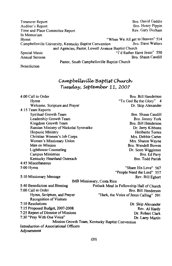Bro. David Gaddie Treasurer Report Auditor's Report Bro. Henry Pippin Rev. Gary Durham Time and Place Committee Report In Memoriam "When We All get to Heaven" 514 Hymn Bro. Dave Walters Campbellsville University, Kentucky Baptist Convention and Agencies, Pastor, Lowell Avenue Baptist Church "I'd Rather Have Jesus" 550 Special Music Annual Sermon Bro. Shaun Caudill Pastor, South Campbellsville Baptist Church

**Benediction** 

## Campbellsville Baptist Church Tuesday, September 11, 2007

| 4:00 Call to Order                     | Bro. Bill Henderson                              |
|----------------------------------------|--------------------------------------------------|
| Hymn                                   | "To God Be the Glory" 4                          |
| Welcome, Scripture and Prayer          | Dr. Skip Alexander                               |
| 4:15 Team Reports                      |                                                  |
| Spiritual Growth Team                  | Bro. Shaun Caudill                               |
| Leadership Growth Team                 | Bro. Jimmy York                                  |
| Kingdom Growth Team                    | Bro. Bill Henderson                              |
| Russian Ministry of Nickolai Syrovatko | Dr. Jerry Kibbons                                |
| Hispanic Ministry                      | Heriberto Torres                                 |
| Christian Women's Job Corps            | Mrs. Debbie Carter                               |
| Women's Missionary Union               | Mrs. Sharon Wayne                                |
| Men on Mission                         | Bro. Wendell Bowen                               |
| Lighthouse Counseling                  | Dr. Scott Wigginton                              |
| Campus Ministries                      | Bro. Ed Pavy                                     |
| Kentucky Heartland Outreach            | Bro. Todd Parish                                 |
| 4:45 Miscellaneous                     |                                                  |
| 5:00 Hymn                              | "Share His Love" 567                             |
|                                        | "People Need the Lord" 557                       |
| 5:10 Missionary Message                | Rev. Bill Egbert                                 |
|                                        | IMB Missionary, Costa Rica                       |
| 5:40 Benediction and Blessing          | Potluck Meal in Fellowship Hall of Church        |
| 7:00 Call to Order                     | Bro. Bill Henderson                              |
| Hymn, Scripture, and Prayer            | "Hark, the Voice of Jesus Calling" 591           |
| <b>Recognition of Visitors</b>         |                                                  |
| 7:10 Resolutions                       | Dr. Skip Alexander                               |
| 7:15 Proposed Budget, 2007-2008        | Rev. Al Hardy                                    |
| 7:25 Report of Director of Missions    | Dr. Robert Clark                                 |
| 7:30 "Pray With One Voice"             | Dr. Larry Martin                                 |
|                                        | Mission Growth Team, Kentucky Baptist Convention |
| Introduction of Associational Officers |                                                  |
| Adjournment                            |                                                  |
|                                        |                                                  |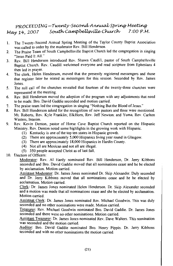#### PROCEEDING-Twenty-Second Annual Spring Meeting South Campbellsville Church 7:00 P.M. May 14. 2007

- The Twenty-Second Annual Spring Meeting of the Taylor County Baptist Association  $\mathbf{1}$ . was called to order by the moderator Rev. Bill Henderson.
- The Praise Team of South Campbellsville Baptist Church led the congregation in singing  $\mathcal{L}$ "Iesus Paid It All."
- Rev. Bill Henderson introduced Rev. Shawn Caudill, pastor of South Campbellsville  $\mathbf{3}$ Bantist Church. Rev. Caudill welcomed everyone and read scripture from Ephesians 4 then led in prayer.
- The clerk. Helen Henderson, moved that the presently registered messengers and those  $\mathbf{A}$ that register later be seated as messengers for this session. Seconded by Rev. James Jones
- The roll call of the churches revealed that fourteen of the twenty-three churches were 5. represented at the meeting.
- Rev. Bill Henderson moved the adoption of the program with any adjustments that need 6 to be made. Bro. David Gaddie seconded and motion carried.
- The praise team led the congregation in singing "Nothing But the Blood of Jesus."  $\overline{7}$
- Rev. Bill Henderson asked for the recognition of new pastors and three were mentioned. 8. Mt. Roberts, Rev. Kyle Franklin; ElkHorn, Rev. Jeff Newton; and Yuma, Rev. Carlton Winters, Interim.
- 9. Rev. Kevin Denton, pastor of Horse Cave Baptist Church reported on the Hispanic Ministry, Rev. Denton noted some highlights in the growing work with Hispanic.
	- (1) Kentucky is one of the top ten states in Hispanic growth.
	- $(2)$  There are approximately 5,000 Hispanics living year round in Glasgow.
	- $(3)$  There are approximately 18,000 Hispanics in Hardin County.
	- (4) Not all are Mexican and not all are illegal.
	- (5) 350 people accepted Christ as of last fall.
- 10. Election of Officers:

Moderator: Rev. Al Hardy nominated Rev. Bill Henderson, Dr. Jerry Kibbons seconded and Bro. David Gaddie moved that all nominations cease and he be elected by acclamation. Motion carried.

Assistant Moderator: Dr. James Jones nominated Dr. Skip Alexander. Duly seconded and Dr. Jerry Kibbons moved that all nominations cease and he be elected by acclamation. Motion carried.

Clerk: Dr. James Jones nominated Helen Henderson. Dr. Skip Alexander seconded and a motion was made that all nominations cease and she be elected by acclamation. Motion carried.

Assistnat Clerk: Dr. James Jones nominated Rev. Michael Goodwin. This was duly seconded and no other nominations were made. Motion carried.

Treasurer: Rev. Michael Goodwin nominated Bro. David Gaddie. Dr. James Jones seconded and there were no other nominations. Motion carried.

Assistant Treasurer: Dr. James Jones nominated Rev. Dave Walters. This nomination was seconded and the motion carried.

Auditor: Bro. David Gaddie nominated Bro. Henry Pippin. Dr. Jerry Kibbons seconded and with no other nominations the motion carried.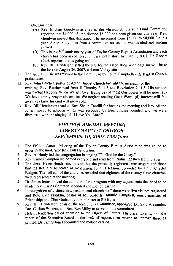**Old Business** 

- (A) Rev. Michael Goodwin as chair of the Mission Scholarship Fund Committee reported that \$4,000 of the allotted \$5,000 has been given out this year. Rev. Goodwin moved that this amount be increased from  $\frac{5}{5}$ ,000 to \$8,000 for this year. Since this comes from a committee no second was needed and motion carried
- (B) This is the 50<sup>th</sup> anniversary year of Taylor County Baptist Association and each church has been asked to summit a short history by June 1, 2007. Dr. Robert Clark reported this is going well.
- (C) Rev. Bill Henderson stated the site for the association wide baptism will be at the lake on August 26, 2007, at Lone Valley site.
- 11. The special music was "Shout to the Lord" lead by South Campbellsville Baptist Church praise team.
- 12. Rev. John Batcher, pastor of Acton Baptist Church brought the message for the evening. Rev. Batcher read from II Timothy 3: 1-5 and Revelation 2: 1-5. His sermon was "What Happens When We get Over Being Saved"? (a) Our power will be gone. (b) We have empty prayer closets. (c) We neglect reading Gods Word. (d) Interest will fall away. (e) Love for God will grow cold.
- 13. Rev. Bill Henderson thanked Rev. Shaun Caudill for hosting the meeting and Bro. Milton Jones moved to adjourn which was seconded by Bro. Jimmie Kendell and we were dismissed with the singing of "I Love You Lord."

## FIFTIETH ANNUAL MEETING **LIBERTY BAPTIST CHURCH** SEPTEMBER 10, 2007 7:00 p.m.

- The Fiftieth Annual Meeting of the Taylor County Baptist Association was called to  $\mathbf{1}$ . order by the moderator Rev. Bill Henderson.
- Rev. Al Hardy led the congregation in singing "To God be the Glory." 2.
- Rev. Carlos Compton welcomed everyone and read from Psalm 122 then led in prayer.  $3<sub>1</sub>$
- $\overline{4}$ . The clerk, Helen Henderson, moved that the presently registered messengers and those that register later be seated as messengers for this session. Seconded by Dr. J. Chester Badgett. The roll call of the churches revealed that eighteen of the twenty-three churches were represented at the meeting.
- Dr. James Jones moved the adoption of the program with any adjustments that need to be 5. made. Rev. Carlos Compton seconded and motion carried.
- In recognition of visitors, new pastors, and church staff there were five visitors registered 6. and Rev. Kyle Franklin, pastor of Mt. Roberts; Jimmie Campbell, music minister of Friendship; and Clint Graham, youth minister at ElkHorn
- 7. Rev. Bill Henderson, chair of the resolutions Committee, appointed Dr. Skip Alexander, Bro. Carlton Winters, and Bro. Bob Milby to serve on this committee.
- Helen Henderson called attention to the Digest of Letters, Historical Events, and the 8. report of the Executive Board in the book of reports then moved to approve these as printed. Dr. James Jones seconded and motion carried.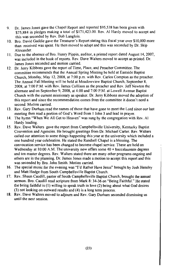- Dr James Jones gave the Chapel Report and reported \$95,538 has been given with  $\mathbf{Q}$ \$75.884 in pledges making a total of \$171,423.00. Rev. Al Hardy moved to accept and this was seconded by Rev. Bob Langlois.
- 10.000 nore to David Gaddie gave the Treasurer's Report stating this fiscal year over \$10.000 more than received was spent. He then moved to adopt and this was seconded by Dr. Skip Alexander.
- 11. Due to the absence of Bro. Henry Pippin, auditor, a printed report dated August 14, 2007, was included in the book of reports. Rev. Dave Walters moved to accept as printed. Dr. James Jones seconded and motion carried.
- 12 Dr. Jerry Kibbons gave the report of Time, Place, and Preacher Committee. The committee recommends that the Annual Spring Meeting be held at Eastside Baptist Church, Monday, May 12, 2008, at 7:00 p.m. with Rev. Carlos Compton as the preacher. The Annual Fall Meeting will be held at Meadowview Baptist Church, September 8. 2008, at 7:00 P.M. with Rev. James Collison as the preacher and Rev. Jeff Newton the alternate and on September 9, 2008, at 4:00 and 7:00 P.M. at Lowell Avenue Baptist Church with the current missionary as speaker. Dr. Jerry Kibbons moved the adoption of this report and since the recommendation comes from the committee it doesn't need a second. Motion carried.
- 13. Rev. Gary Durham read the names of those that have gone to meet the Lord since our last meeting then read a portion of God's Word from 1 John 3 and lead in prayer.
- 14. The hymn "When We All Get to Heaven" was sung by the congregation with Rev. Al Hardy leading.
- 15. Rev. Dave Walters gave the report from Campbellsville University, Kentucky Baptist Convention and Agencies. He brought greetings from Dr. Michael Carter. Rev. Walters called our attention to some things happening this year at the university which included a one hundred year celebration. He stated the Randsell Chapel is a blessing. The convocation service has been changed to become chapel service. These are held on Wednesday at 10:00 A.M. The university now offers some  $40 + \text{baccalaureate degrees}$ and ten master degrees. Rev. Walters stated there are many other programs ongoing and others are in the planning. Dr. James Jones made a motion to accept this report and this was seconded by Bro. John Smith. Motion carried.
- 16. The special music for the evening was "I'd Rather Have Jesus" brought by Josh Hensley and Matt Hodge from South Campbellsville Baptist Church.
- 17. Rev. Shaun Caudill, pastor of South Campbellsville Baptist Church, brought the annual sermon. Bro. Caudill read scripture from Mark 8: 34-36 on "Being Faithful." He stated the being faithful is (1) willing to speak truth in love (2) being about what God desires  $(3)$  not looking on outward results and  $(4)$  is a long term process.
- 18. Rev. Dave Walters moved to adjourn and Rev. Gary Durham seconded dismissing us until the next session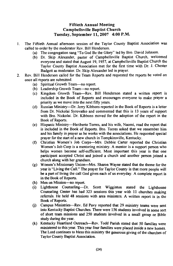### **Fiftieth Annual Meeting Campbellsville Baptist Church** Tuesday, September 11, 2007 4:00 P.M.

- The Fiftieth Annual afternoon session of the Taylor County Baptist Association was  $\mathbf{1}$ called to order by the moderator Rev. Bill Henderson.
	- (a) The congregation sang "To God Be the Glory" led by Bro. David Johnson.
	- (b) Dr. Skip Alexander, pastor of Campbellsville Baptist Church, welcomed everyone and stated that August 19, 1957, at Campbellsville Baptist Church the Taylor County Baptist Association met for the first time with Dr. J. Chester Badgett as moderator. Dr. Skip Alexander led in prayer.
- Rev. Bill Henderson called for the Team Reports and requested the reports be voted on  $2<sub>1</sub>$ once all reports are submitted.
	- (a) Spiritual Growth Team—no report.
	- (b) Leadership Growth Team—no report.
	- (c) Kingdom Growth Team-Rev. Bill Henderson stated a written report is included in the Book of Reports and encourages everyone to make prayer a priority as we move into the next fifty years.
	- (d) Russian Ministry-Dr. Jerry Kibbons reported in the Book of Reports is a letter from Dr. Nickolai Syrovatko and commented that this is 13 years of support with Bro. Nickolai. Dr. Kibbons moved for the adoption of the report in the Book of Reports.
	- (e) Hispanic Ministry—Heriberto Torres, and his wife, Naomi, read the report that is included in the Book of Reports. Bro. Torres asked that we remember him and his family in prayer as he works with the associations. He requested special prayer for the start of a new church in Tompkinsville, Kentucky.
	- Christian Women's Job Corps-Mrs. Debbie Carter reported the Christian  $(f)$ Women's Job Corp is a mentoring ministry. A mentor is a support person who helps women become self-sufficient. Most important this year is that one participant accepted Christ and joined a church and another person joined a church along with her grandson.
	- (g) Women's Missionary Union—Mrs. Sharon Wayne stated that the theme for the year is "Living the Call." The prayer for Taylor County is that more people will be a part of living the call God gives each of us everyday. A complete report is in the Book of Reports.
	- (h) Men on Mission—no report.
	- (i) Lighthouse Counseling-Dr. Scott Wigginton stated the Lighthouse Counseling Center has had 323 sessions this year with 11 churches making referrals. He held 48 sessions with area ministers. A written report is in the Book of Reports.
	- (j) Campus Ministries—Rev. Ed Pavy reported that 29 ministry teams were sent into Kentucky Baptist Churches. There were 156 students involved in some sort of short team missions and 250 students involved in a small group or Bible study during the year.
	- (k) Kentucky Heartland Outreach—Rev. Todd Parish stated that 50 families were ministered to this year. This year four families were placed inside a new homes. The Lord continues to bless this ministry the generous giving of the churches of Taylor County Baptist Association.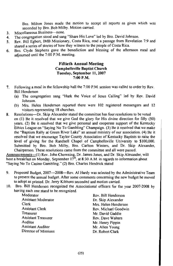Bro. Milton Jones made the motion to accept all reports as given which was seconded by Bro. Bob Milby. Motion carried.

- Miscellaneous Business-none.  $3<sub>1</sub>$
- The congregation stood and sang "Share His Love" led by Bro. David Johnson.  $\overline{\mathbf{4}}$
- Rev. Bill Egbert, IMB Missionary, Costa Rica, read a passage from Revelation 7:9 and  $\sim$ shared a series of stories of how they witness to the people of Costa Rica.
- Bro. Civide Stephens gave the benediction and blessing of the afternoon meal and 6. adiourned until the 7:00 P.M. meeting.

### **Fiftieth Annual Meeting** Campbellsville Baptist Church Tuesday, September 11, 2007  $7:00 P.M$

- Following a meal in the fellowship hall the 7:00 P.M. session was called to order by Rev.  $\overline{7}$ **Bill Henderson** 
	- (a) The congregation sang "Hark the Voice of Jesus Calling" led by Rev. David Johnson.
	- (b) Mrs. Helen Henderson reported there were 102 registered messengers and 12 visitors representing 18 churches.
- 8. Resolutions----Dr. Skip Alexander stated the committee has four resolutions to be voted on (1) Be it resolved that we give God the glory for His divine direction for fifty (50) vears. (2) Be it resolved that we give personal and cooperate support of the Kentucky Ethics League on "Saying No To Gambling" Champaign. (3) Be it resolved that we make the "Baptism Rally at Green River Lake" an annual ministry of our association. (4) Be it resolved that we encourage Taylor County Association of Kentucky Baptists to raise the level of giving for the Randsell Chapel of Campbellsville University to \$100,000. Submitted by Bro. Bob Milby, Bro. Carlton Winters, and Dr. Skip Alexander, Chairperson. These resolutions came from the committee and all were passed.

Announcements—(1) Rev. John Chowning, Dr. James Jones, and Dr. Skip Alexander, will host a breakfast on Monday, September 17<sup>th</sup>, at 8:30 A.M. in regards to information about "Saving No To Casino Gambling." (2) Bro. Charles Hendrick stated

- $\mathbf{Q}$ Proposed Budget, 2007—2008—Rev. Al Hardy was selected by the Administrative Team to present the annual budget. After some comments concerning the new budget he moved to adopt as printed. Dr. Jerry Kibbons seconded and motion carried.
- 10. Bro. Bill Henderson recognized the Associational officers for the year 2007-2008 by having each one stand to be recognized.

Moderator **Assistant Moderator** Clerk **Assistant Clerk** Treasurer **Assistant Treasurer** Auditor **Assistant Auditor** Director of Missions Rev. Bill Henderson Dr. Skip Alexander Mrs. Helen Henderson Rev. Michael Goodwin Mr. David Gaddie Rev. Dave Walters Mr. Henry Pippin Mr. Allen Young Dr. Robert Clark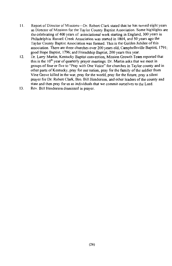- Report of Director of Missions---Dr. Robert Clark stated that he has served eight years  $11.$ as Director of Missions for the Taylor County Baptist Association. Some highlights are the celebrating of 400 years of associational work starting in England, 300 years in Philadelphia. Russell Creek Association was started in 1804, and 50 years ago the Taylor County Baptist Association was formed. This is the Golden Jubilee of this association. There are three churches over 200 years old. Campbellsville Baptist, 1791; good Hope Baptist, 1796; and Friendship Baptist, 200 years this year.
- $12.$ Dr. Larry Martin, Kentucky Baptist convention, Mission Growth Team reported that this is the  $10<sup>th</sup>$  vear of quarterly prayer meetings. Dr. Martin asks that we meet in groups of four or five to "Pray with One Voice" for churches in Taylor county and in other parts of Kentucky, pray for our nation, pray for the family of the soldier from Vine Grove killed in the war, pray for the world, pray for the future, pray a silent prayer for Dr. Robert Clark, Bro. Bill Henderson, and other leaders of the county and state and then pray for us as individuals that we commit ourselves to the Lord.
- $13.$ Rev. Bill Henderson dismissed in prayer.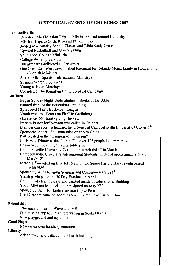### **HISTORICAL EVENTS OF CHURCHES 2007**

### Campbellsville

Disaster Relief Mission Trips to Mississippi and around Kentucky Mission Trips to Costa Rica and Burkna Faso Added new Sunday School Classes and Bible Study Groups Unward Basketball and Cheer-leading Solid Food College Ministries **College Worship Services** 100 gift cards delivered at Christmas One Great Day Workday-Finished basement for Rolando Muniz family in Hodgenville (Spanish Minister) Started SIM (Spanish International Ministry) Spanish Worship Services Young at Heart Meetings Completed Thy Kingdom Come Spiritual Campaign

### **ElkHorn**

Began Sunday Night Bible Studies-Books of the Bible Painted front of the Educational Building Sponsored Men's Basketball League Youth went to "Hearts on Fire" in Gatlinburg Gave away 65 Thanksgiving Baskets Interim Pastor Jeff Newton was called in October Member Cora Renfo featured her artwork at Campbellsville University, October 7<sup>th</sup> Sponsored Andrea Saltsman mission trip to China Participated in the "Hanging of the Green" Christmas Dinner at the church. Fed over 125 people in community Began Wednesday night ladies bible study. Campbellsville University Commuters lunch fed 45 in March Campbellsville University International Students lunch fed approximately 50 on March 12<sup>th</sup> March I<sup>th</sup>—voted on Bro. Jeff Newton for Senior Pastor. The yes vote passed with 98% Sponsored Ann Downing Seminar and Concert-March 24<sup>th</sup> Youth participated in "30 Day Famine" in April Church had clean up days and painted inside of Educational Building Youth Minister Michael Julian resigned on May 27<sup>th</sup> Sponsored Sami Jo Harden mission trip to Peru Clint Graham came on board as Summer Youth Minister in June

### Friendship

Two mission trips to Waveland, MS.

One mission trip to Indian reservation in South Dakota

New playground and equipment

### Good Hope

New cover over handicap entrance

### Liberty

Added foyer and bathroom to church building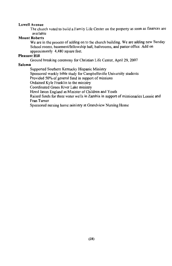#### Lowell Avenue

The church voted to build a Family Life Center on the property as soon as finances are available

### **Mount Roberts**

We are in the process of adding on to the church building. We are adding new Sunday School rooms, basement/fellowship hall, bathrooms, and pastor office. Add on approximately 4,480 square feet.

#### **Pleasant Hill**

Ground breaking ceremony for Christian Life Center, April 29, 2007

### Saloma

Supported Southern Kentucky Hispanic Ministry

Sponsored weekly bible study for Campbellsville University students

Provided 50% of general fund in support of missions

Ordained Kyle Franklin to the ministry

Coordinated Green River Lake ministry

Hired Jason England as Minister of Children and Youth

Raised funds for three water wells in Zambia in support of missionaries Lonnie and Fran Turner

Sponsored nursing home ministry at Grandview Nursing Home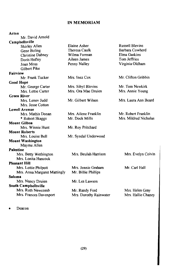### **IN MEMORIAM**

### Acton

| Mr. David Arnold             |                        |                        |
|------------------------------|------------------------|------------------------|
| Campbellsville               |                        |                        |
| Shirley Allen                | Elaine Asher           | <b>Russell Blevins</b> |
| Gene Boling                  | Theresa Caulk          | Barbara Cowherd        |
| <b>Christine Dabney</b>      | Wilma Forman           | Elma Gaskins           |
| Doris Hefley                 | Aileen James           | Tom Jeffries           |
| Joan Moss<br>Gilbert Pike    | Penny Nalley           | Virginia Oldham        |
| Fairview                     |                        |                        |
| Mr. Frank Tucker             | Mrs. Inez Cox          | Mr. Clifton Gribbin    |
| <b>Good Hope</b>             |                        |                        |
| Mr. George Carter            | Mrs. Sibyl Blevins     | Mr. Tom Newkirk        |
| Mrs. Lettie Carter           | Mrs. Ora Mae Druien    | Mrs. Annie Young       |
| <b>Green River</b>           |                        |                        |
| Mrs. Lenov Judd              | Mr. Gilbert Wilson     | Mrs. Laura Ann Beard   |
| Mrs. Jesse Cotton            |                        |                        |
| <b>Lowell Avenue</b>         |                        |                        |
| Mrs. Mathis Donan            | Mrs. Ailene Franklin   | Mr. Robert Franklin    |
| * Robert Skaggs              | Mr. Dock Mills         | Mrs. Mildred Nicholas  |
| <b>Mount Gilboa</b>          |                        |                        |
| Mrs. Winnie Hunt             | Mr. Roy Pritchard      |                        |
| <b>Mount Roberts</b>         |                        |                        |
| Mrs. Louise Bell             | Mr. Syndal Underwood   |                        |
| <b>Mount Washington</b>      |                        |                        |
| Mayme Allen                  |                        |                        |
| <b>Palestine</b>             |                        |                        |
| Mrs. Betty Wethington        | Mrs. Beulah Harrison   | Mrs. Evelyn Colvin     |
| Mrs. Lonita Hancock          |                        |                        |
| <b>Pleasant Hill</b>         |                        |                        |
| Mrs. Lottie Philpott         | Mrs. Jennie Graham     | Mr. Carl Hall          |
| Mrs. Anna Margaret Mattingly | Mr. Billie Phillips    |                        |
| Saloma                       |                        |                        |
| Mrs. Nancy Druien            | Mr. Les Lawson         |                        |
| South Campbellsville         |                        |                        |
| Mrs. Ruth Newcomb            | Mr. Randy Ford         | Mrs. Helen Gray        |
| Mrs. Frances Davenport       | Mrs. Dorothy Rainwater | Mrs. Hallie Chaney     |
|                              |                        |                        |

Deacon  $\bullet$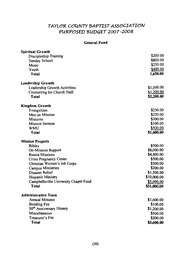## TAYLOR COUNTY BAPTIST ASSOCIATION PURPOSED BUDGET 2007-2008

### **General Fund**

| <b>Spiritual Growth</b>               |             |
|---------------------------------------|-------------|
| Discipleship Training                 | \$200.00    |
| Sunday School                         | \$800.00    |
| Music                                 | \$250.00    |
| Youth                                 | \$400.00    |
| <b>Total</b>                          | 1,650.00    |
| <b>Leadership Growth</b>              |             |
| Leadership Growth Activities          | \$1,000.00  |
| Counseling for Church Staff           | \$1,200.00  |
| <b>Total</b>                          | \$2,200.00  |
| <b>Kingdom Growth</b>                 |             |
| Evangelism                            | \$250.00    |
| Men on Mission                        | \$250.00    |
| <b>Missions</b>                       | \$300.00    |
| <b>Mission Sermon</b>                 | \$100.00    |
| <b>WMU</b>                            | \$500.00    |
| Total                                 | \$1,400.00  |
| <b>Mission Projects</b>               |             |
| <b>Bibles</b>                         | \$500.00    |
| <b>On-Mission Support</b>             | \$8,000.00  |
| <b>Russia Missions</b>                | \$4,800.00  |
| Crisis Pregnancy Center               | \$500.00    |
| Christian Women's Job Corps           | \$500.00    |
| Campus Ministries                     | \$200.00    |
| Disaster Relief                       | \$1,500.00  |
| Hispanic Ministry                     | \$10,000.00 |
| Campbellsville University Chapel Fund | \$5,000.00  |
| <b>Total</b>                          | \$31,000.00 |
| <b>Administrative Team</b>            |             |
| <b>Annual Minutes</b>                 | \$1,600.00  |
| <b>Bonding Fee</b>                    | \$100.00    |
| 50 <sup>th</sup> Anniversary History  | \$1,200.00  |
| Miscellaneous                         | \$500.00    |
| Treasurer's Fee                       | \$200,00    |
| Total                                 | \$3,600.00  |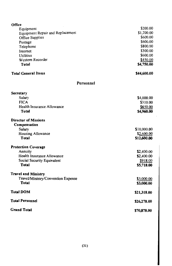| Office                             |                        |
|------------------------------------|------------------------|
| Equipment                          | \$200.00               |
| Equipment Repair and Replacement   | \$1,200.00             |
| Office Supplies                    | \$600.00               |
| Postage                            | \$600.00               |
| Telephone                          | \$800.00               |
| Internet                           | \$300.00               |
| Utilities                          | \$600.00               |
| Western Recorder<br>Total          | \$450.00<br>\$4,750.00 |
|                                    |                        |
| <b>Total General Items</b>         | \$44,600.00            |
| <b>Personnel</b>                   |                        |
| Secretary                          |                        |
| Salary                             | \$4,000.00             |
| <b>FICA</b>                        | \$310.00               |
| Health Insurance Allowance         | \$650.00               |
| <b>Total</b>                       | \$4,960.00             |
| <b>Director of Missions</b>        |                        |
| Compensation                       |                        |
| Salary                             | \$10,000.00            |
| Housing Allowance                  | \$2,600.00             |
| Total                              | \$12,600.00            |
| <b>Protection Coverage</b>         |                        |
| Annuity                            | \$2,400.00             |
| Health Insurance Allowance         | \$2,400.00             |
| Social Security Equivalent         | \$918.00               |
| <b>Total</b>                       | \$5,718.00             |
| <b>Travel and Ministry</b>         |                        |
| Travel/Ministry/Convention Expense | \$3,000.00             |
| Total                              | \$3,000.00             |
| <b>Total DOM</b>                   | \$21,318.00            |
| <b>Total Personnel</b>             | \$26,278.00            |
| <b>Grand Total</b>                 | \$70,878.00            |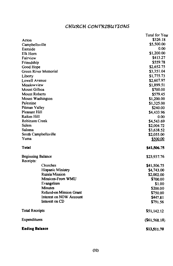## CHURCH CONTRIBUTIONS

|                          |                                | Total for Year   |
|--------------------------|--------------------------------|------------------|
| Acton                    |                                | \$326.18         |
| Campbellsville           |                                | \$5,500.00       |
| Eastside                 |                                | 0.00             |
| Elk Horn                 |                                | \$1,200.00       |
| Fairview                 |                                | \$413.27         |
| Friendship               |                                | \$559.78         |
| Good Hope                |                                | \$2,652.75       |
|                          | Green River Memorial           | \$3,351.04       |
| Liberty                  |                                | \$1,775.73       |
| Lowell Avenue            |                                | \$2,607.97       |
| Meadowview               |                                | \$1,899.51       |
| Mount Gilboa             |                                | \$700.00         |
| <b>Mount Roberts</b>     |                                | \$579.45         |
| Mount Washington         |                                | \$1,200.00       |
| Palestine                |                                | \$1,325.00       |
| Pitman Valley            |                                | \$240.00         |
| Pleasant Hill            |                                | \$4,433.96       |
| <b>Raikes Hill</b>       |                                | 0.00             |
| Robinson Creek           |                                | \$4,543.69       |
| Salem                    |                                | \$2,004.72       |
| Saloma                   |                                | \$3,638.52       |
|                          | South Campbellsville           | \$2,055.00       |
| Yuma                     |                                | \$500.00         |
| Total                    |                                | \$41,506.75      |
| <b>Beginning Balance</b> |                                | \$23,937.76      |
| Receipts:                | Churches                       |                  |
|                          | Hispanic Ministry              | \$41,506.75      |
|                          | <b>Russia Mission</b>          | \$4,743.00       |
|                          | Missions-From WMU              | \$2,002.00       |
|                          |                                | \$700.00         |
|                          | Evangelism<br><b>Minutes</b>   | \$1.00           |
|                          | <b>Refund-on Mission Grant</b> | \$200.00         |
|                          | Interest on NOW Account        | \$750.00         |
|                          | Interest on CD                 | \$447.81         |
|                          |                                | \$791.56         |
| <b>Total Receipts</b>    |                                | \$51,142.12      |
| Expenditures             |                                | $($ \$61,568.18) |
| <b>Ending Balance</b>    |                                | \$13,511.70      |
|                          |                                |                  |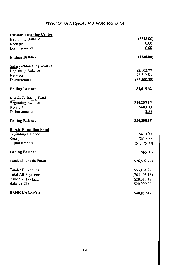## FUNDS DESIGNATED FOR RUSSIA

| <b>Russian Learning Center</b> |                 |
|--------------------------------|-----------------|
| <b>Beginning Balance</b>       | (\$248.00)      |
| Receipts                       | 0.00            |
| Disbursements                  | 0.00            |
| <b>Ending Balance</b>          | $($ \$248.00)   |
| Salary-Nikolai Syrovatka       |                 |
| <b>Beginning Balance</b>       | \$2,102.77      |
| Receipts                       | \$2,712.85      |
| Disbursements                  | (S2,800.00)     |
| <b>Ending Balance</b>          | \$2,015.62      |
| <b>Russia Building Fund</b>    |                 |
| <b>Beginning Balance</b>       | \$24,205.15     |
| Receipts                       | \$600.00        |
| Disbursements                  | 0.00            |
| <b>Ending Balance</b>          | \$24,805.15     |
| <b>Russia Education Fund</b>   |                 |
| <b>Beginning Balance</b>       | \$410.00        |
| Receipts                       | \$650.00        |
| Disbursements                  | (\$1,125.00)    |
| <b>Ending Balance</b>          | $($ \$65.00)    |
| <b>Total-All Russia Funds</b>  | \$26,507.77     |
| <b>Total-All Receipts</b>      | \$55,104.97     |
| Total-All Payments             | $(\$65,493.18)$ |
| Balance-Checking               | \$20,019.47     |
| Balance-CD                     | \$20,000.00     |
| <b>BANK BALANCE</b>            | \$40,019.47     |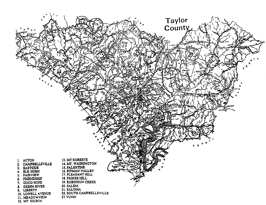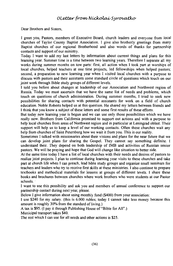## Oletter from Níckolaí Syrovatko

Dear Brothers and Sisters.

I greet you, Pastors, members of Executive Board, church leaders and everyone from local churches of Taylor County Baptist Association. I give also brotherly greetings from many Baptist churches of our regional Brotherhood and also words of thanks for partnership contacts and support of our ministry.

Today I want to add my last letters by information about current things and plans for this learning year. Summer time is a time between two learning years. Therefore I separate all my works during summer months on tow parts: first, all action when I took part at worships of local churches, helped teachers at one time projects, led fellowships when helped pastors; second, a preparation to new learning year when I visited local churches with a purpose to discuss with pastors and their assistants come standard circle of questions which touch on our joint work through Bible study groups of different levels.

I told you before about changes at leadership of our Association and Northwest region of Russia. Today we must ascertain that we have the same list of needs and problems, which touch on questions of church administration. During summer months. I tried to seek new possibilities for sharing contacts with potential assistants for work on a field of church education. Noble Roberts helped us at this question. He shared my letters between friends and I think that you know a subject of these letters and some first results of these efforts.

But today new learning year is begun and we can use only those possibilities which we have really now. Brothers from California promised to support out actions and with a purpose to help local churches from areas of Northwest region and in particular at Leningrad oblast. Their support will help us to keep a level of our working contacts. Often these churches wait any help from churches of Saint Petersburg how we wait it from you. This is our reality.

Sometimes I talked with missionaries about their visions and plans for the near future that we can develop joint plans for sharing the Gospel. They cannot say something definite. I understand their. They depend on both leadership of IMB and activities of Russian senior pastors. We will be praying and hope that God will change like situation to better side.

At the same time today I have a list of local churches with their needs and desires of pastors to realize joint projects. I plan to continue during learning year visits to these churches and take part at church life when I can preach, lead bible study groups and organize small seminars for teachers and leaders who try to receive first skills at these ministries. I also continue to prepare textbooks and methodical materials for lessons at groups of different levels. I share these books and brochures between churches where work brothers who were students at our Pastor schools.

I want to use this possibility and ask you and members of annual conference to support our partnership contact during next year, please.

Below I give information about using monthly fund (\$400) from your association:

I use \$240 for my salary. (this is 6.000 rubles; today I cannot take less money because this amount is roughly 30% from the standard of living.)

A tax is \$95. (I pay it through Publishing House of "Bible for All".) Municipal transport takes \$40.

The rest which I can use for all needs and other actions is \$25.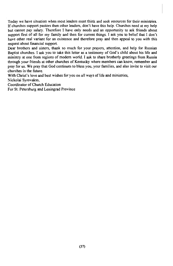Today we have situation when most leaders must think and seek resources for their ministries. If churches support pastors then other leaders, don't have this help. Churches need at my help but cannot pay salary. Therefore I have only needs and an opportunity to ask friends about support first of all for my family and then for current things. I ask you to belief that I don't have other real variant for an existence and therefore pray and then appeal to you with this request about financial support.

Dear brothers and sisters, thank so much for your prayers, attention, and help for Russian Baptist churches. I ask you to take this letter as a testimony of God's child about his life and ministry at one from regions of modern world. I ask to share brotherly greetings from Russia through your friends at other churches of Kentucky where members can know, remember and pray for us. We pray that God continues to bless you, your families, and also invite to visit our churches in the future.

With Christ's love and best wishes for you on all ways of life and ministries,

Nickolai Syrovakto,

Coordinator of Church Education

For St. Petersburg and Leningrad Province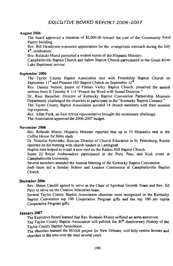### August 2006

The board approved a donation of \$2,000.00 toward the cost of the Community Food Pantry building.

Rev. Bill Henderson expressed appreciation for the evangelistic outreach during the July 4<sup>th</sup>, celebration.

Bro. Rolando Muniz presented a written report of the Hispanic Ministry.

Campbellsville Baptist Church and Salem Baptist Church participated in the Green River Lake Baptismal service.

#### Sentember 2006

The Taylor County Baptist Association met with Friendship Baptist Church on September  $11^{th}$  and Pleasant Hill Baptist Church on September  $12^{th}$ .

Rev. Dannie Nelson, pastor of Pitman Valley Baptist Church, preached the annual sermon from II Timothy 4: 1-5 "Preach the Word with Sound Doctrine."

Dr. Ross Bauscher, Director of Kentucky Baptist Convention Partnership Missions Department, challenged the churches to participate in the "Kentucky Baptist Connect."

The Taylor County Baptist Association assisted 14 church members with their mission trip expenses.

Rev. Allan Funk, an East Africa representative brought the missionary challenge.

The Association approved the 2006-2007 budget.

#### November 2006

Bro. Rolando Muniz, Hispanic Minister reported that up to 15 Hispanics met at the Coffee House for Bible study.

Dr. Nickolai Syrovatko, Russian Director of Church Education in St. Petersburg, Russia reported on his meeting with church leaders in Leningrad.

Baptist men helped to install a new roof on the Raikes Hill Baptist Church.

Some 22 Royal Ambassadors participated in the Punt, Pass, and Kick event at Campbellsville University.

Several members attended the Annual Meeting of the Kentucky Baptist Convention.

Josh Hunt led a Sunday School and Leaders Conference at Campbellsville Baptist Church

### December 2006

Rev. Shaun Caudill agreed to serve as the Chair of Spiritual Growth Team and Rev. Ed Pavy to serve on the Creative Ministries team.

Several Taylor County Baptist Association churches were recognized in the Kentucky Baptist Convention top 100 Cooperative Program gifts and the top 100 per capita Cooperative Program gifts.

### **January 2007**

The Executive Board learned that Rev. Rolando Muniz suffered an aorta aneurysm.

The Taylor County Baptist Association will publish the 50<sup>th</sup> Anniversary History of the Taylor County Baptist Association.

The churches learned the NOAH project for New Orleans, will help restore houses and churches in the area over the next several years.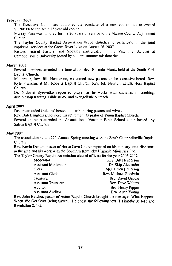### February 2007

The Executive Committee approved the purchase of a new copier, not to exceed \$1,200,00 to replace a 13 year old copier.

Murray Finn was honored for his 20 years of service to the Marion County Adjustment Center.

The Taylor County Baptist Association urged churches to participate in the joint baptismal services at the Green River Lake on August 26, 2007.

Pastors, retired Pastors, and Spouses participated in the Valentine Banquet at Campbellsville University hosted by student summer missionaries.

### **March 2007**

Several members attended the funeral for Bro. Rolando Muniz held at the South Fork **Baptist Church.** 

Moderator, Rev. Bill Henderson, welcomed new pastors to the executive board. Rev. Kyle Franklin, at Mt. Roberts Baptist Church; Rev. Jeff Newton, at Elk Horn Baptist Church.

Dr. Nickolai Syrovatko requested prayer as he works with churches in teaching, discipleship training. Bible study, and evangelistic outreach.

### April 2007

Pastors attended Gideons' hosted dinner honoring pastors and wives.

Rev. Bob Langlois announced his retirement as pastor of Yuma Baptist Church.

Several churches attended the Associational Vacation Bible School clinic hosted by Salem Baptist Church.

### **May 2007**

The association held it 22<sup>nd</sup> Annual Spring meeting with the South Campbellsville Baptist Church.

Rev. Kevin Denton, pastor of Horse Cave Church reported on his ministry with Hispanics in the area and his work with the Southern Kentucky Hispanic Ministries, Inc.

The Taylor County Baptist Association elected officers for the year 2006-2007.

| Moderator                  | Rev. Bill Henderson  |
|----------------------------|----------------------|
| <b>Assistant Moderator</b> | Dr. Skip Alexander   |
| Clerk                      | Mrs. Helen Hdnerson  |
| <b>Assistant Clerk</b>     | Rev. Michael Goodwin |
| Treasurer                  | Bro. David Gaddie    |
| <b>Assistant Treasurer</b> | Rev. Dave Walters    |
| Auditor                    | Bro. Henry Pippin    |
| <b>Assistant Auditor</b>   | Bro. Allen Young     |

Rev. John Batcher, pastor of Acton Baptist Church brought the message "What Happens" When We Get Over Being Saved." He chose the following text II Timothy 3: 1-15 and Revelation 2: 1-5.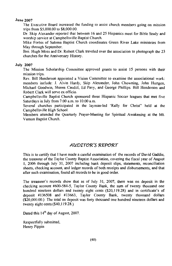### **June 2007**

The Executive Board increased the funding to assist church members going on mission trips from \$5,000.00 to \$8,000.00.

Dr. Skip Alexander reported that between 16 and 25 Hispanics meet for Bible Study and worship service at Campbellsville Baptist Church.

Mike Forbis of Saloma Baptist Church coordinates Green River Lake ministries from May through September.

Bro. Hugh Moss and Dr. Robert Clark traveled over the association to photograph the 23 churches for the Anniversary History.

### **July 2007**

The Mission Scholarship Committee approved grants to assist 15 persons with their mission trips.

Rev. Bill Henderson appointed a Vision Committee to examine the associational work: members include: J. Alvin Hardy, Skip Alexander, John Chowning, John Hurtgen, Michael Goodwin, Shawn Caudill, Ed Pavy, and George Phillips. Bill Henderson and Robert Clark will serve ex officio.

Campbellsville Baptist Church sponsored three Hispanic Soccer leagues that met five Saturdays in July from 7:00 a.m. to 10:00 a.m.

Several churches participated in the layman-led 'Rally for Christ'' held at the Campbellsville High School.

Members attended the Quarterly Prayer-Meeting for Spiritual Awakening at the Mt. Vernon Baptist Church.

### AUDITOR'S REPORT

This is to certify that I have made a careful examination of the records of David Gaddie. the treasurer of the Taylor County Baptist Association, covering the fiscal year of August 1, 2006 through July 31, 2007 including bank deposit slips, statements, reconciliation sheets, checking account, and ledger records of both receipts and disbursements, and that after such examination, found all records to be in good order.

The treasurer's records show that as of July 31, 2007, there was on deposit in the checking account #600-584-5. Taylor County Bank, the sum of twenty thousand one hundred nineteen dollars and twenty eight cents (\$20,119.28) and in certificate's of deposit #136508 and #13663, Taylor County Bank, twenty thousand dollars (\$20,000.00.) The total on deposit was forty thousand one hundred nineteen dollars and twenty eight cents (\$40,119.28.)

Dated this 14<sup>th</sup> day of August, 2007.

Respectfully submitted, Henry Pippin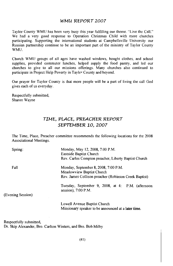### WMU REPORT 2007

Taylor County WMU has been very busy this year fulfilling our theme. "Live the Call." We had a very good response to Operation Christmas Child with more churches participating. Supporting the international students at Campbellsville University our Russian partnership continue to be an important part of the ministry of Taylor County WMU.

Church WMU groups of all ages have washed windows, bought clothes, and school supplies, provided commuter lunches, helped supply the food pantry, and led our churches to give to all our missions offerings. Many churches also continued to participate in Project Help Poverty in Tayler County and beyond.

Our prayer for Taylor County is that more people will be a part of living the call God gives each of us everyday.

Respectfully submitted, Sharon Wayne

## TIME, PLACE, PREACHER REPORT SEPTEMBER 10, 2007

The Time, Place, Preacher committee recommends the following locations for the 2008 Associational Meetings.

| Spring:           | Monday, May 12, 2008, 7:00 P.M.<br>Eastside Baptist Church<br>Rev. Carlos Compton preacher, Liberty Baptist Church         |
|-------------------|----------------------------------------------------------------------------------------------------------------------------|
| Fall              | Monday, September 8, 2008, 7:00 P.M.<br>Meadowview Baptist Church<br>Rev. James Collison preacher (Robinson Creek Baptist) |
| (Evening Session) | Tuesday, September 9, 2008, at 4: P.M. (afternoon<br>session), $7:00$ P.M.                                                 |
|                   | Lowell Avenue Baptist Church<br>Missionary speaker to be announced at a later time.                                        |

Respectfully submitted, Dr. Skip Alexander, Bro. Carlton Winters, and Bro. Bob Milby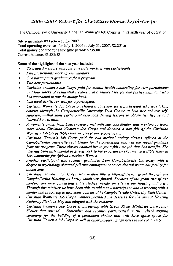## 2006-2007 Report for Christian Women's Tob Corps

The Campbellsville University Christian Women's Job Corps is in its sixth year of operation.

Site registration was renewed for 2007. Total operating expenses for July 1, 2006 to July 31, 2007: \$2,251.61 Total money donated for same time period: \$735.00 Current balance: \$3,886.83

Some of the highlights of the past year included:

- Six trained mentors with four currently working with participants
- Five participants working with mentors  $\bullet$
- One participants graduation from program
- Two new participants
- $\blacksquare$ Christian Women's Job Corps paid for mental health counseling for two participants and four weeks of residential treatment at a reduced fee for one participants and who has contracted to pay the money back.
- One local dentist services for a participant.
- Christian Women's Job Corps purchased a computer for a participant who was taking courses through the Campbellsville University Tech Center to help her achieve selfsufficiency—that same participant also took driving lessons to obtain her license and learned how to quilt.
- A women's group from Lawrenceburg met with site coordinator and mentors to learn more about Christian Women's Job Corps and donated a box full of the Christian Women's Job Corps Bibles that we give to every participant.
- Christian Women's Job Corps paid for two medical coding classes offered at the Campbellsville University Tech Center for the participant who was the recent graduate from the program. These classes enabled her to get a full time job that has benefits. She also has been instrumental in giving back to the program by organizing a Bible study in her community for African American Women.
- Another participant who recently graduated from Campbellsville University with a degree in psychology obtained full time employment at a residential treatment facility for adolescents
- Christian Women's Job Corps was written into a self-sufficiency grant through the Campbellsville Housing Authority which was funded. Because: of the grant two of our mentors are now conducting Bible studies weekly on site at the housing authority. Through this ministry we have been able to add a new participant who is working with a mentor and preparing to take some courses at he Campbellsville University Tech Center.
- Christian Women's Job Corps mentors provided the desserts for the annual Housing Authority Picnic in May and mingled with the residents.
- Christian Women's Job Corps is partnering with Green River Ministries Emergency Shelter that opened in September and recently participated in the check signing ceremony for the building of a permanent shelter that will have office space for Christian Women's Job Corps as well as other partnering age noies in the community.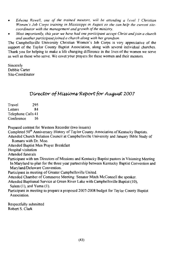- Edwina Rowell, one of the trained mentors, will be attending a Level 1 Christian  $\bullet$ Women's Job Corps training in Mississippi in August so she can help the current sitecoordinator with the management and growth of the ministry.
- Most importantly, this year we have had one participant accept Christ and join a church  $\bullet$ and another participant joined a church along with her grandson.

The Campbellsville University Christian Women's Job Corps is very appreciative of the support of the Taylor County Baptist Association, along with several individual churches. Thank you for helping to make a life changing difference in the lives of the women we serve as well as those who serve. We covet your prayers for these women and their mentors.

Sincerely Debbie Carter Site-Coordinator

## Director of Missions Report for August 2007

Travel 295 Letters 84 Telephone Calls 41 Conference 16

Prepared content for Western Recorder (two issuers)

Completed 50<sup>th</sup> Anniversary History of Taylor County Association of Kentucky Baptists. Attended Church Relation Council at Campbellsville University and January Bible Study of Romans with Dr. Moo. Attended Baptist Men Praver Breakfast Hospital visitation Attended funerals Participant with ten Directors of Missions and Kentucky Baptist pastors in Visioning Meeting In Maryland to plan for the three year partnership between Kentucky Baptist Convention and Maryland/Delaware Convention. Participant in meeting of Greater Campbellsville United. Attended Chamber of Commerce Meeting: Senator Mitch McConnell the speaker. Attended Baptismal Service at Green River Lake with Campbellsville Baptist (10), Salem (1), and Yuma (1). Participant in meeting to prepare a proposed 2007-2008 budget for Taylor County Baptist Association.

Respectfully submitted Robert S. Clark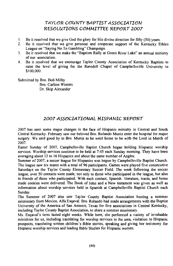## TAYLOR COUNTY BAPTIST ASSOCIATION RESOLUTIONS COMMITTEE REPORT 2007

- Be it resolved that we give God the glory for His divine direction for fifty (50) years.  $\mathbf{L}$
- $2<sup>1</sup>$ Be it resolved that we give personal and cooperate support of the Kentucky Ethics League on "Saying No To Gambling" Champaign.
- $\mathbf{R}$ Be it resolved that we make the "Baptism Rally at Green River Lake" an annual ministry of our association.
- $\overline{4}$ Be it resolved that we encourage Taylor County Association of Kentucky Baptists to raise the level of giving for the Ransdell Chapel of Campbellsville University to \$100,000.

Submitted by Bro. Bob Milby **Bro. Carlton Winters** Dr. Skip Alexander

## 2007 ASSOCIATIONAL HISPANIC REPORT

2007 has seen some major changes in the face of Hispanic ministry in Central and South Central Kentucky. February saw our beloved Bro. Rolando Muniz enter the hospital for major surgery. We said good by to Bro. Muniz as he went home to be with the Lord in March of 2007.

Easter Sunday of 2007, Campbellsville Baptist Church began holding Hispanic worship services. Worship services continue to be held at 7:45 each Sunday morning. They have been averaging about 12 to 16 Hispanics and about the same number of Anglos.

Summer of 2007, a soccer league for Hispanics was begun by Campbellsville Baptist Church. The league saw six teams with a total of 96 participants. Games were played five consecutive Saturdays on the Taylor County Elementary Soccer Field. The week following the soccer league, over 50 contacts were made, not only to those who participated in the league, but also to friends of those who participated. With each contact, Spanish literature, tracts, and home made cookies were delivered. The Book of John and a New testament was given as well as information about worship services held in Spanish at Campbellsville Baptist Church each Sundav.

The Summer of 2007 also saw Taylor County Baptist Association hosting a summer missionary from Mexico, Alfa Esqaval. Bro. Rolando had made arrangements with the Baptist University of the America of San Antonis, Texas for five associations in Central Kentucky, including Taylor County Baptist Association, to share a summer missionary.

Ms. Esgaval's term lasted eight weeks. While here, she performed a variety of invaluable ministries for us, including translating for worship services in the area, visitation to Hispanic prospects, translating written children's Bible stories, speaking and giving her testimony for Hispanic worship services and leading Bible Studies for Hispanic women.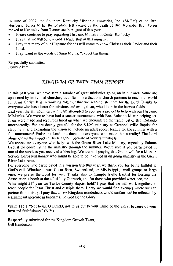In June of 2007, the Southern Kentucky Hispanic Ministries, Inc. (SKHM) called Bro. Heriberto Torres to fill the position left vacant by the death of Bro. Rolando. Bro. Torres moved to Kentucky from Tennessee in August of this year.

- Please continue to pray regarding Hispanic Ministry in Center Kentucky
- Prav that we will follow God's leadership in this ministry.  $\bullet$
- Pray that many of our Hispanic friends will come to know Christ as their Savior and their  $\bullet$ Lord.
- Pray...and in the words of Sarai Muniz, "expect big things."

Respectfully submitted Penny Akers

## KINGDOM GROWTH TEAM REPORT

In this past year, we have seen a number of great ministries going on in our area. Some are sponsored by individual churches, but often more than one church partners to reach our world for Jesus Christ. It is in working together that we accomplish more for the Lord. Thanks to everyone who has a heart for missions and evangelism, who labors in the harvest fields.

Last year, the Kingdom Growth team attempted to sponsor a project to help with our Hispanic Ministries. We were to have had a soccer tournament, with Bro. Rolando Muniz helping us. Plans were made and resources lined up when we encountered the tragic lost of Bro. Rolando unexpectedly. We are deeply grateful for the S.I.M. ministry at Campbellsville Baptist for stepping in and expanding the vision to include an adult soccer league for the summer with a full tournament! Praise the Lord and thanks to everyone who made that a reality! The Lord alone knows the impact in His Kingdom because of your faithfulness!

We appreciate everyone who helps with the Green River Lake Ministry, especially Saloma Baptist for coordinating the ministry through the summer. We're sure if you participated in one of the services you received a blessing. We are still praying that God's will for a Mission Service Corps Missionary who might be able to be involved in on going ministry in the Green River Lake Area.

For everyone who participated in a mission trip this year, we thank you for being faithful to God's call. Whether it was Costa Rica, Switzerland, or Mississippi., small groups or large ones, we praise the Lord for you. Thanks also to Campbellsville Baptist for hosting the Association's booth at the 4<sup>th</sup> of July Outreach, and for those who provided water, ice, etc.

What might 51<sup>st</sup> year for Taylor County Baptist hold? I pray that we will work together, to reach people for Jesus Christ and disciple them. I pray we would find avenues where we can partner for ministry. I pray that a new Kingdom-mindedness would surface and be reflected by a significant increase in baptisms. To God Be the Glory.

Psalm 115:1 "Not to us, O LORD, not to us but to your name be the glory, because of your love and faithfulness." (NIV)

Respectfully submitted for the Kingdom Growth Team, **Bill Henderson**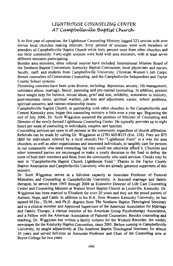## LIGHTHOUSE COUNSELING CENTER AT Campbellsville Baptist Church

It its first year of operation, the Lighthouse Counseling Ministry logged 323 session with over eleven local churches making referrals. Sixty percent of sessions were with members or attenders of Campbellsville Baptist Church while forty percent were from other churches and our local community. Forty-eight sessions were held with area ministers, with at least seven different ministers participating.

Besides area ministers, other referral sources have included: International Mission Board of the Southern Baptist Convention: Kentucky Baptist Convention: local physicians and nurses: faculty, staff, and students from Campbellsville University; Christian Women's Job Corps; former counselors of Cornerstone Counseling; and the Campbellsville Independent and Taylor County School systems.

Presenting concerns have been quite diverse, including: depression, anxiety, life management, substance abuse, marriage, family, parenting and pre-marital counseling. In addition, persons have sought help for bulimia, sexual abuse, grief and loss, infidelity, restoration to ministry. post-traumatic stress, spiritual warfare, job loss and adjustment, career, school problems, spiritual concerns, and various relationship issues.

Campbellsville Baptist Church, in partnership with other churches in the Campbellsville and Central Kentucky area, began this counseling ministry a little over a year ago. Beginning the end of July 2006. Dr. Scott Wigginton assumed the position of Minister of Counseling and Director of the newly formed Lighthouse Counseling Center. He typically provides up to eight hours per week of counseling to individuals, couples, and families.

Counseling services are open to all persons in the community regardless of church affiliation. Referrals can be made by calling Dr. Wigginton at (270) 465-8115 (Ext. 216). Fees are \$75 (\$60 for individuals referred by a local church). The "Lighthouse Fund" is a way for area churches, as well as other organizations and interested individuals, to tangibly care for persons in our community who need counseling but who could not otherwise afford it. Churches and other interested parties are encouraged to make a yearly donation to the fund to defray the costs of both their members and those from the community who need services. Checks may be sent to "Campbellsville Baptist Church Lighthouse Fund." Thanks to the Taylor County Baptist Association and Campbellsville University who are already generous supporters of this ministry.

Dr. Scott Wigginton serves in a full-time capacity as Associate Professor of Pastoral Ministries and Counseling at Campbellsville University. A licensed marriage and family therapist, he served from 1993 through 2004 as Executive Director of Life Care Counseling Center and Counseling Minister at Walnut Street Baptist Church in Louisville, Kentucky. Dr. Wigginton has been married to Elizabeth for over 20 years and they are the proud parents of Auburn, Hope, and Caleb. In addition to his B.A. from Western Kentucky University, he has earned M.Div., Th.M., and Ph.D. degrees from The Southern Baptist Theological Seminary and is a clinical member and Approved Supervisor of the American Association for Marriage and Family Therapy, a clinical member of the American Group Psychotherapy Association, and a Fellow with the American Association of Pastoral Counselors. Besides counseling and teaching, Dr. Wigginton has written a family column for the Western Recorder, the weekly newspaper for the Kentucky Baptist Convention, since 2001. Before coming to Campbellsville University, he taught adjunctively at The Southern Baptist Theological Seminary for almost 10 years and served full-time as Associate Professor and Chair of the Counseling area at Boyce College for two years.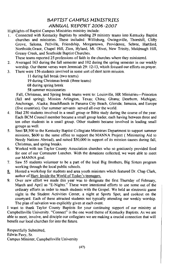## **BAPTIST CAMPUS MINISTRIES** ANNUAL REPORT 2006-2007

Highlights of Baptist Campus Ministries ministry include:

Connected with Kentucky Baptists by sending 29 ministry teams into Kentucky Baptist L. churches and ministries. These included: Willisburg, Owingsville, Thornhill, Clifty Grove, Saloma, Pellville, Friendship, Morgantown, Providence, Sebree, Hartford, Northside, Grace, Chapel Hill, Zion, Hyland, Mt. Olivet, New Trinity, Muldraugh Hill, Greasy Creek, and Southside Baptist Churches.

These teams reported 25 professions of faith in the churches where they ministered.

- Averaged 163 during the fall semester and 102 during the spring semester in our weekly  $2.$ worship. Our theme verses were Jeremiah 29: 12-13, which focused our efforts on prayer.
- There were 156 students involved in some sort of short term mission.  $3<sub>1</sub>$ 
	- 11 during fall break (two teams)
		- 19 during Christmas break (three teams)
	- 68 during spring break
	- 58 summer missionaries

Fall, Christmas, and Spring break teams went to: Louisville, HR Ministries—Princeton (fall and spring); Mission Arlington, Texas; China; Ghana; Dearborn, Michigan; Anchorage, Alaska; BeachReach in Panama City Beach, Glorida; Jamaica, and Europe (five countries). Our summer servants served all over the world.

- Had 250 students involved in a small group or Bible study during the course of the year.  $\overline{4}$ Each BCM Council member became a small group leader, each having between three and ten other students in a small group. Other students became involved in leading small groups as well.
- 5. Sent \$8,500 to the Kentucky Baptist Collegiate Ministries Department to support summer missions, \$600 to the same office to support the MANNA Project (Ministering Aid to Needy Nations Abroad), and raised \$50,000 in support of its mission causes during fall, Christmas, and spring breaks.
- 6. Worked with ten Taylor County Association churches who so graciously provided food for one of our Commuter Lunches. With the donations collected, we were able to meet our MANNA goal.
- Saw 55 students volunteer to be a part of the local Big Brothers, Big Sisters program  $7.$ working through the local public schools.
- $8.$ Hosted a workshop for students and area youth ministers which featured Dr. Chap Clark, author of Hurt: Inside the World of Today's teenagers.
- Over new effort we made this year was to designate the first Thursday of February,  $9<sub>1</sub>$ March and April as "E-Nights." These were intentional efforts to use some out of the ordinary efforts in order to reach students with the Gospel. We held an electronic game night in the Student Activities Center, a night at Sports Spot, and cookout on the courtyard. Each of these attracted students not typically attending our weekly worship. The plan of salvation was explicitly given at each event.

I want to thank Taylor County Baptists for your continuing support of our ministry at Campbellsville University. "Connect" is the one word theme of Kentucky Baptists. As we are able to meet, involve, and disciple our collegians we are making a crucial connection that will benefit our local churches for into the future.

Respectfully Submitted, Edwin Pavy, Sr. Campus Minister, Campbellsville University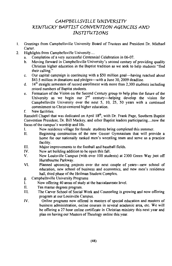## CAMPBELLSVILLE UNIVERSITY KENTUCKY BAPTIST CONVENTION AGENCIES AND **INSTITUTIONS**

- $\mathbf{1}$ Greetings from Campbellsville University Board of Trustees and President Dr. Michael Carter.
- $\mathcal{D}$ Highlights from Campbellsville University...
	- Completion of a very successful Centennial Celebration in 06-07.  $\mathbf{a}$
	- Moving forward in Campbellsville University's second century of providing quality h. Christian higher education in the Baptist tradition as we seek to help students "find their calling."
	- Our capital campaign is continuing with a \$50 million goal—having reached about  $\mathbf{c}$ . \$43.5 million in donations and pledges—with a June 30, 2009 deadline.
	- 14<sup>th</sup> straight semesters of record enrollment with more than 2.300 students including d. record numbers of Baptist students.
	- Formation of the Vision on the Second Century group to help plan the future of the e. University as we begin our  $2^{nd}$  century—helping develop the vision for Campbellsville University over the next  $5$ ,  $10$ ,  $25$ ,  $50$  years with a continued commitment to Christ-centered higher education.
	- f. New facilities.

Ransdell Chapel that was dedicated on April 18<sup>th</sup>, with Dr. Frank Page, Southern Baptist Convention President, Dr. Bill Mackey, and other Baptist leaders participating....now the focus of the campus's worship and life.

- New residence village for female students being completed this summer. L.
- Beginning construction of the new Gosser Gymnasium that will provide a  $II.$ home for our nationally ranked men's wrestling team and serve as a practice facility.
- $III.$ Major improvements to the football and baseball fields.
- IV. New art building addition to be open this fall.
- V. New Louisville Campus (with over 100 students) at 2300 Green Way just off Hurstbourne Parkway.
- Planned upcoming projects over the next couple of years-new school of VI. education, new school of business and economics, and new men's residence hall, third phase of the Heilman Student Complex.
- Campbellsville University Programs g.
- L. Now offering 40 areas of study at the baccalaureate level.
- Ten master degrees program.  $\Pi$ .
- III. The Carver School of Social Work and Counseling is growing and now offering program at our Louisville Campus.
- IV. Online programs now offered in masters of special education and masters of business administration, online courses in several academic area, etc. We will be offering a 27 hour online certificate in Christian ministry this next year and plan on having our Masters of Theology online this year.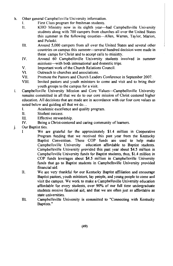- h. Other general Campbellsville University information.
	- $\mathbf{L}$ First Class program for freshman students.
	- $II.$ KHO Ministry now in its eighth year—had Campbellsville University students along with 700 campers from churches all over the United States this summer in the following counties—Allen, Warren, Taylor, Marion, and Pulaski.
	- $III.$ Around 5,000 campers from all over the United States and several other countries on campus this summer—several hundred decision were made in these camps for Christ and to accept calls to ministry.
	- IV. Around 60 Campbellsville University students involved in summer missions—with both international and domestic trips.
	- V. Important work of the Church Relations Council.
	- $VI$ Outreach to churches and associations.
	- **VII** Promote the Pastors and Church Leaders Conference in September 2007.
	- **VIII** Invited pastors and youth ministers to come and visit and to bring their youth groups to the campus for a visit.
- Campbellsville University Mission and Core Values—Campbellsville University i. remains committed in all that we do to our core mission of Christ centered higher education. All decisions that are made are in accordance with our four core values as noted below and guiding all that we do...
	- $\mathbf{L}$ Academic excellence and quality program.
	- $\Pi$ . Student success.
	- $III$ Effective stewardship.
	- Being a Christ-centered and caring community of learners.  $\mathbf{I} \mathbf{V}$
- j. Our Baptist ties.
	- We are grateful for the approximately \$1.4 million in Cooperative  $\mathbf{I}$ Program funding that we received this past year from the Kentucky Baptist Convention. These COP funds are used to help make Campbellsville University education affordable to Baptist students. Campbellsville University provided this past year about \$4.5 million in Campbellsville University funds for Baptist students, thus, \$1.4 million in COP funds leverages about \$4.5 million in Campbellsville University funds that go to Baptist students in Campbellsville University provided financial aid.
	- $\Pi$ . We are very thankful for our Kentucky Baptist affiliation and encourage Baptist pastors, youth ministers, lay people, and young people to come and visit the campus. We work to make a Campbellsville University education affordable for every students, over 90% of our full time undergraduate students receive financial aid, and that we are often just as affordable as state universities.
	- $111$ Campbellsville University is committed to "Connecting with Kentucky Baptists."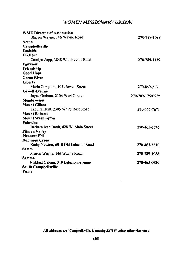## WOMEN MISSIONARY UNION

| <b>WMU Director of Association</b>     |                  |
|----------------------------------------|------------------|
| Sharon Wayne, 146 Wayne Road           | 270-789-1088     |
| Acton                                  |                  |
| <b>Campbellsville</b>                  |                  |
| Eastside                               |                  |
| <b>ElkHorn</b>                         |                  |
| Carolyn Sapp, 3848 Wooleyville Road    | 270-789-1139     |
| Fairview                               |                  |
| Friendship                             |                  |
| <b>Good Hope</b>                       |                  |
| <b>Green River</b>                     |                  |
| Liberty                                |                  |
| Marie Compton, 405 Dowell Street       | 270-849-2131     |
| <b>Lowell Avenue</b>                   |                  |
| Joyce Graham, 2106 Pearl Circle        | 270-789-1750???? |
| Meadowview                             |                  |
| <b>Mount Gilboa</b>                    |                  |
| Laquita Hunt, 2305 White Rose Road     | 270-465-7671     |
| <b>Mount Roberts</b>                   |                  |
| <b>Mount Washington</b>                |                  |
| Palestine                              |                  |
| Barbara Jean Bault, 828 W. Main Street | 270-465-7746     |
| <b>Pitman Valley</b>                   |                  |
| <b>Pleasant Hill</b>                   |                  |
| <b>Robinson Creek</b>                  |                  |
| Kathy Newton, 6010 Old Lebanon Road    | 270-465-3310     |
| Salem                                  |                  |
| Sharon Wayne, 146 Wayne Road           | 270-789-1088     |
| Saloma                                 |                  |
| Mildred Gibson, 519 Lebanon Avenue     | 270-465-0920     |
| <b>South Campbellsville</b>            |                  |
| Yuma                                   |                  |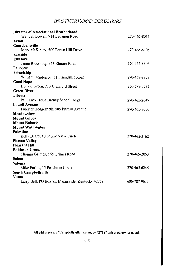## BROTHERHOOD DIRECTORS

| Director of Associational Brotherhood             |              |
|---------------------------------------------------|--------------|
| Wendell Bowen, 714 Lebanon Road                   | 270-465-8011 |
| Acton                                             |              |
| Campbellsville                                    |              |
| Mark McKinley, 500 Forest Hill Drive              | 270-465-8105 |
| Eastside                                          |              |
| <b>ElkHorn</b>                                    |              |
| Jamie Browning, 353 Elmore Road                   | 270-465-8306 |
| Fairview                                          |              |
| Friendship                                        |              |
| William Henderson, 31 Friendship Road             | 270-469-9809 |
| <b>Good Hope</b>                                  |              |
| Donald Green, 213 Crawford Street                 | 270-789-0532 |
| <b>Green River</b>                                |              |
| Liberty                                           |              |
| Paul Lacy, 1808 Barney School Road                | 270-465-2647 |
| <b>Lowell Avenue</b>                              |              |
| Forester Hedgespeth, 505 Pitman Avenue            | 270-465-7000 |
| Meadowview                                        |              |
| <b>Mount Gilboa</b>                               |              |
| <b>Mount Roberts</b>                              |              |
| <b>Mount Washington</b>                           |              |
| Palestine                                         |              |
| Kelly Beard, 40 Scenic View Circle                | 270-465-3162 |
| <b>Pitman Valley</b>                              |              |
| <b>Pleasant Hill</b>                              |              |
| <b>Robinson Creek</b>                             |              |
| Thomas Grimes, 168 Grimes Road                    | 270-465-2053 |
| Salem                                             |              |
| Saloma                                            |              |
| Mike Forbis, 15 Peachtree Circle                  | 270-465-6245 |
| South Campbellsville                              |              |
| Yuma                                              |              |
| Larry Bell, PO Box 95, Mannsville, Kentucky 42758 | 606-787-9611 |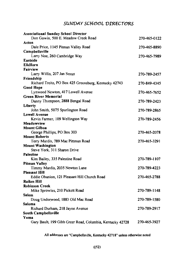## SUNDAY SCHOOL DIRECTORS

| <b>Associational Sunday School Director</b>               |              |
|-----------------------------------------------------------|--------------|
| Don Gowin, 500 E. Meadow Creek Road                       | 270-465-0122 |
| Acton                                                     |              |
| Dale Price, 1145 Pitman Valley Road                       | 270-465-8890 |
| Campbellsville                                            |              |
| Larry Noe, 260 Cambridge Way                              | 270-465-7989 |
| Eastside                                                  |              |
| <b>ElkHorn</b>                                            |              |
| Fairview                                                  |              |
| Larry Willis, 207 Jan Street                              | 270-789-2457 |
| Friendship                                                |              |
| Richard Treitz, PO Box 425 Greensburg, Kentucky 42743     | 270-849-4345 |
| <b>Good Hope</b>                                          |              |
| Lynwood Newton, 417 Lowell Avenue                         | 270-465-7652 |
| <b>Green River Memorial</b>                               |              |
| Danny Thompson, 2888 Bengal Road                          | 270-789-2423 |
| Liberty                                                   |              |
| John Smith, 5075 Spurlington Road                         | 270-789-2865 |
| <b>Lowell Avenue</b>                                      |              |
| Kevin Farmer, 109 Wellington Way                          | 270-789-2456 |
| Meadowview                                                |              |
| <b>Mount Gilboa</b>                                       |              |
| George Phillips, PO Box 303<br><b>Mount Roberts</b>       | 270-465-2078 |
| Terry Mardis, 789 Mac Pittman Road                        | 270-465-3291 |
| <b>Mount Washington</b>                                   |              |
| Steve York, 311 Sharon Drive                              |              |
| <b>Palestine</b>                                          |              |
| Kim Bailey, 335 Palestine Road                            | 270-789-1107 |
| <b>Pitman Valley</b>                                      |              |
| Timmy Mardis, 2035 Newton Lane                            | 270-789-4223 |
| <b>Pleasant Hill</b>                                      |              |
| Eddie Obanion, 121 Pleasant Hill Church Road              | 270-465-2788 |
| <b>Raikes Hill</b>                                        |              |
| <b>Robinson Creek</b>                                     |              |
| Mike Sprowles, 210 Pickett Road                           | 270-789-1148 |
| Salem                                                     |              |
| Doug Underwood, 1883 Old Mac Road                         | 270-789-1580 |
| Saloma                                                    |              |
| Richard Durham, 218 Jayne Avenue                          | 270-789-2917 |
| South Campbellsville                                      |              |
| Yuma                                                      |              |
| Gary Bault, 199 Gibb Greer Road, Columbia, Kentucky 42728 | 270-465-3927 |
|                                                           |              |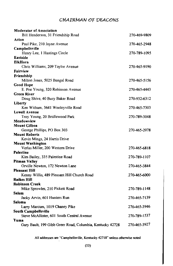## CHAIRMAN OF DEACONS

| <b>Moderator of Association</b>                           |              |
|-----------------------------------------------------------|--------------|
| Bill Henderson, 31 Friendship Road                        | 270-469-9809 |
| Acton                                                     |              |
| Paul Pike, 210 Jayne Avenue                               | 270-465-2948 |
| Campbellsville                                            |              |
| Henry Lee, 1 Hastings Circle                              | 270-789-1095 |
| Eastside                                                  |              |
| <b>ElkHorn</b>                                            |              |
| Chris Williams, 209 Taylor Avenue                         | 270-465-9190 |
| Fairview                                                  |              |
| Friendship                                                |              |
| Milton Jones, 5025 Bengal Road                            | 270-465-5156 |
| <b>Good Hope</b>                                          |              |
| E. Poe Young, 320 Robinson Avenue                         | 270-465-4443 |
| <b>Green River</b>                                        |              |
| Doug Shive, 40 Busy Baker Road                            | 270-932-6312 |
| Liberty                                                   |              |
| Ken Witham, 3641 Wooleyville Road                         | 270-465-7303 |
| <b>Lowell Avenue</b>                                      |              |
| Troy Young, 20 Bridlewood Park                            | 270-789-3048 |
| Meadowview                                                |              |
| <b>Mount Gilboa</b>                                       |              |
| George Phillips, PO Box 303                               | 270-465-2078 |
| <b>Mount Roberts</b>                                      |              |
| Kevin Mings, 24 Harris Drive                              |              |
| <b>Mount Washington</b>                                   |              |
| Verlas Miller, 200 Western Drive                          | 270-465-6818 |
| Palestine                                                 |              |
| Kim Bailey, 335 Palestine Road                            | 270-789-1107 |
| <b>Pitman Valley</b>                                      |              |
| Orville Newton, 172 Newton Lane                           | 270-465-3844 |
| <b>Pleasant Hill</b>                                      |              |
| Kenny Willis, 489 Pleasant Hill Church Road               | 270-465-6000 |
| <b>Raikes Hill</b>                                        |              |
| <b>Robinson Creek</b>                                     |              |
| Mike Sprowles, 210 Pickett Road                           | 270-789-1148 |
| Salem                                                     |              |
| Jacky Arvin, 601 Hunters Run                              | 270-465-7139 |
| Saloma                                                    |              |
| Larry Marcum, 1019 Chaney Pike                            | 270-465-3946 |
| <b>South Campbellsville</b>                               |              |
| Steve McAllister, 601 South Central Avenue                | 270-789-1537 |
| Yuma                                                      |              |
| Gary Bault, 199 Gibb Greer Road, Columbia, Kentucky 42728 | 270-465-3927 |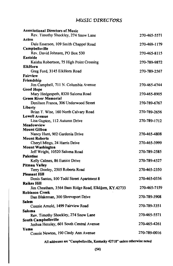## MUSIC DIRECTORS

| <b>Associational Directors of Music</b>               |              |
|-------------------------------------------------------|--------------|
| Rev. Timothy Shockley, 274 Snow Lane                  | 270-465-5571 |
| Acton                                                 |              |
| Dale Emerson, 109 Smith Chappel Road                  | 270-469-1179 |
| Campbellsville                                        |              |
| Rev. David Johnson, PO Box 530                        | 270-465-8115 |
| Eastside                                              |              |
| Keisha Robertson, 75 High Point Crossing              | 270-789-9872 |
| <b>ElkHorn</b>                                        |              |
| Greg Ford, 3145 ElkHorn Road                          | 270-789-2567 |
| Fairview                                              |              |
| Friendship                                            |              |
| Jim Campbell, 711 N. Columbia Avenue                  | 270-465-4744 |
| Good Hope                                             |              |
| Mary Hedgespeth, 8320 Saloma Road                     | 270-465-8905 |
| <b>Green River Memorial</b>                           |              |
| Denilson Franca, 306 Underwood Street                 | 270-789-6767 |
| Liberty                                               |              |
| Brian T. Wise, 160 North Calvary Road                 | 270-789-2656 |
| <b>Lowell Avenue</b>                                  |              |
| Lisa Gupton, 112 Autumn Drive                         | 270-789-1712 |
| Meadowview                                            |              |
| <b>Mount Gilboa</b>                                   |              |
| Nancy Hunt, 902 Gardenia Drive                        | 270-465-4808 |
| <b>Mount Roberts</b>                                  |              |
| Cheryl Mings, 24 Harris Drive                         | 270-465-3999 |
| <b>Mount Washington</b>                               |              |
| Jeff Wright, 10520 Saloma Road                        | 270-789-2585 |
| <b>Palestine</b>                                      |              |
| Kelly Calmes, 86 Eunice Drive                         | 270-789-4527 |
| <b>Pitman Valley</b>                                  |              |
| Terry Dooley, 2505 Roberts Road                       | 270-465-2350 |
| <b>Pleasant Hill</b>                                  |              |
| Denis Santos, 100 Todd Street Apartment 8             | 270-465-0336 |
| Raikes Hill                                           |              |
| Jim Cheatham, 3564 Bass Ridge Road, ElkHorn, KY.42733 | 270-465-7159 |
| <b>Robinson Creek</b>                                 |              |
| Dan Blakeman, 300 Shreveport Drive                    | 270-789-3908 |
| <b>Salem</b>                                          |              |
| Connie Arnold, 1499 Fairview Road                     | 270-789-3351 |
| Saloma                                                |              |
| Rev. Timothy Shockley, 274 Snow Lane                  | 270-465-5571 |
| South Campbellsville                                  |              |
| Joshua Hensley, 601 South Central Avenue              | 270-465-4261 |
| Yuma                                                  |              |
| Connie Newton, 190 Cindy Ann Avenue                   | 270-789-0016 |
|                                                       |              |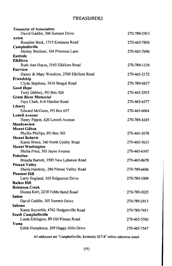## TREASURERS

| <b>Treasurer of Association</b>                    |              |
|----------------------------------------------------|--------------|
| David Gaddie, 306 Summit Drive                     | 270-789-2913 |
| Acton                                              |              |
| Rosaline Beck, 1715 Kindness Road                  | 270-465-7856 |
| Campbellsville                                     |              |
| Shirley Buckner, 104 Primrose Lane                 | 270-465-7696 |
| Eastside                                           |              |
| <b>ElkHorn</b>                                     |              |
| Ruth Ann Hayes, 3145 ElkHorn Road                  | 270-789-1136 |
| <b>Fairview</b>                                    |              |
| Danny & Mary Woodcox, 2700 ElkHorn Road            | 270-465-2172 |
| Friendship                                         |              |
| Clyde Stephens, 5410 Bengal Road                   | 270-789-0437 |
| <b>Good Hope</b>                                   |              |
| Terry Dabney, PO Box 426                           | 270-465-2933 |
| <b>Green River Memorial</b>                        |              |
| Faye Clark, 616 Hatcher Road                       | 270-465-6377 |
| Liberty                                            |              |
| Edward McGuire, PO Box 657                         | 270-465-6064 |
| <b>Lowell Avenue</b>                               |              |
| Henry Pippin, 420 Lowell Avenue                    | 270-789-4245 |
| Meadowview                                         |              |
| <b>Mount Gilboa</b>                                |              |
| Phyllis Phillips, PO Box 303                       | 270-465-2078 |
| <b>Mount Roberts</b>                               |              |
| Karen Bruce, 360 North Colsby Road                 | 270-465-7613 |
| <b>Mount Washington</b>                            |              |
| Shelia Price, 303 Jayne Avenue<br><b>Palestine</b> | 270-465-6547 |
| Brenda Barnett, 3585 New Lebanon Road              | 270-465-8678 |
| <b>Pitman Valley</b>                               |              |
| Sheila Hardesty, 296 Pitman Valley Road            | 270-789-6606 |
| <b>Pleasant Hill</b>                               |              |
| Larry England, 105 Ridgecrest Drive                | 270-789-1009 |
| <b>Raikes Hill</b>                                 |              |
| <b>Robinson Creek</b>                              |              |
| Donna Kerr, 2218 Tebbs Bend Road                   | 270-789-3025 |
| Salem                                              |              |
| David Gaddie, 305 Summit Drive                     | 270-789-2913 |
| Saloma                                             |              |
| Karen Reynolds, 4742 Hodgenville Road              | 270-789-7451 |
| South Campbellsville                               |              |
| Linda Edrington, 89 Old Pitman Road                | 270-465-3760 |
| Yuma                                               |              |
| Edith Humphress, 209 Happy Hills Drive             | 270-465-7547 |
|                                                    |              |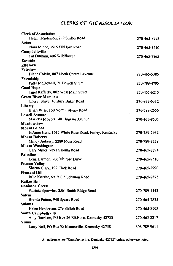## CLERKS OF THE ASSOCIATION

| <b>Clerk of Association</b>                                                    |              |
|--------------------------------------------------------------------------------|--------------|
| Helen Henderson, 279 Shiloh Road                                               | 270-465-8998 |
| Acton                                                                          |              |
| Nora Minor, 3515 ElkHorn Road                                                  | 270-465-3420 |
| Campbellsville                                                                 |              |
| Pat Durham, 406 Wildflower                                                     | 270-465-7865 |
| Eastside                                                                       |              |
| <b>ElkHorn</b>                                                                 |              |
| Fairview                                                                       |              |
| Diane Colvin, 807 North Central Avenue                                         | 270-465-5385 |
| Friendship                                                                     |              |
| Patty McDowell, 71 Dowell Street                                               | 270-789-4795 |
| <b>Good Hope</b>                                                               |              |
| Janet Rafferty, 802 West Main Street                                           | 270-465-6215 |
| <b>Green River Memorial</b>                                                    |              |
| Cheryl Shive, 40 Busy Baker Road                                               | 270-932-6312 |
| Liberty                                                                        |              |
| Brian Wise, 160 North Calvary Road                                             | 270-789-2656 |
| <b>Lowell Avenue</b>                                                           |              |
| Marietta Moyers, 401 Ingram Avenue                                             | 270-465-8505 |
| Meadowview                                                                     |              |
| <b>Mount Gilboa</b>                                                            |              |
| JoAnne Hunt, 1615 White Rose Road, Finley, Kentucky                            | 270-789-2932 |
| <b>Mount Roberts</b>                                                           |              |
| Mindy Auberry, 2280 Moss Road                                                  | 270-789-3758 |
| <b>Mount Washington</b>                                                        |              |
| Gary Miller, 7891 Saloma Road                                                  | 270-465-3794 |
| Palestine                                                                      |              |
| Lena Harmon, 706 Melrose Drive                                                 | 270-465-7510 |
| <b>Pitman Valley</b>                                                           |              |
| Sharon Clark, 192 Clark Road                                                   | 270-465-2990 |
| Pleasant Hill                                                                  |              |
| Julie Kessler, 6919 Old Lebanon Road                                           | 270-465-7875 |
| <b>Raikes Hill</b><br><b>Robinson Creek</b>                                    |              |
|                                                                                |              |
| Patricia Sprowles, 2564 Smith Ridge Road                                       | 270-789-1143 |
| Salem                                                                          | 270-465-7835 |
| Brenda Patton, 940 Spears Road<br>Saloma                                       |              |
| Helen Henderson, 279 Shiloh Road                                               | 270-465-8998 |
|                                                                                |              |
| <b>South Campbellsville</b><br>Amy Harrison, PO Box 26 ElkHorn, Kentucky 42733 | 270-465-8217 |
| Yuma                                                                           |              |
| Larry Bell, PO Box 95 Mannsville, Kentucky 42758                               | 606-789-9611 |
|                                                                                |              |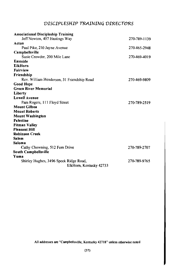## DISCIPLESHIP TRAINING DIRECTORS

| <b>Associational Discipleship Training</b>                        |              |
|-------------------------------------------------------------------|--------------|
| Jeff Newton, 407 Hastings Way                                     | 270-789-1139 |
| Acton                                                             |              |
| Paul Pike, 210 Jayne Avenue                                       | 270-465-2948 |
| Campbellsville                                                    |              |
| Susie Crowder, 200 Mile Lane                                      | 270-469-4019 |
| Eastside                                                          |              |
| <b>ElkHorn</b>                                                    |              |
| <b>Fairview</b>                                                   |              |
| Friendship                                                        |              |
| Rev. William Henderson, 31 Friendship Road                        | 270-469-9809 |
| <b>Good Hope</b>                                                  |              |
| <b>Green River Memorial</b>                                       |              |
| Liberty                                                           |              |
| <b>Lowell Avenue</b>                                              |              |
| Pam Rogers, 111 Floyd Street                                      | 270-789-2519 |
| <b>Mount Gilboa</b>                                               |              |
| <b>Mount Roberts</b>                                              |              |
| <b>Mount Washington</b>                                           |              |
| <b>Palestine</b>                                                  |              |
| Pitman Valley                                                     |              |
| <b>Pleasant Hill</b>                                              |              |
| <b>Robinson Creek</b>                                             |              |
| <b>Salem</b>                                                      |              |
| Saloma                                                            |              |
| Cathy Chowning, 512 Fern Drive                                    | 270-789-2707 |
| South Campbellsville                                              |              |
| Yuma                                                              |              |
| Shirley Hughes, 3496 Speck Ridge Road,<br>ElkHorn, Kentucky 42733 | 270-789-9765 |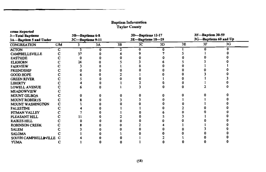# **Baptism Information<br>Taylor County**

| nems Reported<br>3-Total Baptisms<br>3A-Baptism 5 and Under |    | 3B-Baptisms 6-8<br>3C-Baptisms 9-11 |    | 3D-Baptisms 12-17<br>3E-Baptisms 18-29 |                |    |    | 3F-Baptism 30-59<br>3G-Baptisms 60 and Up |    |  |
|-------------------------------------------------------------|----|-------------------------------------|----|----------------------------------------|----------------|----|----|-------------------------------------------|----|--|
| <b>CONGREATION</b>                                          | CM | ٦                                   | 3A | 3B                                     | 3 <sub>C</sub> | 3D | 3E | 3F                                        | 3G |  |
| <b>ACTON</b>                                                |    |                                     |    |                                        | 0              |    |    |                                           |    |  |
| <b>CAMPBELLSVILLE</b>                                       |    | 37                                  |    |                                        |                |    |    |                                           |    |  |
| <b>EASTSIDE</b>                                             |    |                                     |    |                                        |                |    |    |                                           |    |  |
| <b>ELKHORN</b>                                              |    | 24                                  |    |                                        |                |    |    |                                           |    |  |
| <b>FAIRVIEW</b>                                             |    |                                     |    |                                        |                |    |    |                                           |    |  |
| <b>FRIENDSHIP</b>                                           |    |                                     |    |                                        |                |    |    |                                           |    |  |
| <b>GOOD HOPE</b>                                            |    |                                     |    |                                        |                |    |    |                                           |    |  |
| <b>GREEN RIVER</b>                                          |    |                                     |    |                                        |                |    |    |                                           |    |  |
| <b>LIBERTY</b>                                              |    |                                     |    |                                        |                |    |    |                                           |    |  |
| <b>LOWELL AVENUE</b>                                        |    |                                     |    |                                        |                |    |    |                                           |    |  |
| <b>MEADOWVIEW</b>                                           |    |                                     |    |                                        |                |    |    |                                           |    |  |
| <b>MOUNT GILBOA</b>                                         |    |                                     |    |                                        |                |    |    |                                           |    |  |
| <b>MOUNT ROBERTS</b>                                        |    |                                     |    |                                        |                |    |    |                                           |    |  |
| MOUNT WASHINGTON                                            |    |                                     |    |                                        |                |    |    |                                           |    |  |
| <b>PALESTINE</b>                                            |    |                                     |    |                                        |                |    |    |                                           |    |  |
| PITMAN VALLEY                                               |    |                                     |    |                                        |                |    |    |                                           |    |  |
| PLEASANT HILL                                               |    |                                     |    |                                        |                |    |    |                                           |    |  |
| <b>RAIKES HILL</b>                                          |    |                                     |    |                                        |                |    |    |                                           |    |  |
| <b>ROBINSON CREEK</b>                                       |    |                                     |    |                                        |                |    |    |                                           |    |  |
| <b>SALEM</b>                                                |    |                                     |    |                                        |                |    |    |                                           |    |  |
| <b>SALOMA</b>                                               |    |                                     |    |                                        |                |    |    |                                           |    |  |
| SOUTH CAMPBELLS VILLE                                       |    |                                     |    |                                        |                |    |    |                                           |    |  |
| <b>YUMA</b>                                                 |    |                                     |    |                                        |                |    |    |                                           |    |  |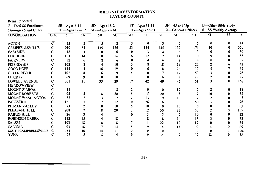### **BIBLE STUDY INFORMATION TAYLOR COUNTY**

Items Reported

| 5-Total SS Enrollment   | $5B$ —Ages 6-11<br>5C-Ages 12-17 |      |    | $5D - Ages$ 18-24 |                |    | 5F-Ages 35-54 |     | $5H - 65$ and $Up$<br>5I-General Officers |     |                     | 5J-Other Bible Study |      |  |
|-------------------------|----------------------------------|------|----|-------------------|----------------|----|---------------|-----|-------------------------------------------|-----|---------------------|----------------------|------|--|
| 5A-Ages 5 and Under     |                                  |      |    |                   | 5E-Ages 25-34  |    | 5G-Ages 55-64 |     |                                           |     | 6-SS Weekly Average |                      |      |  |
| <b>CONGREGATION</b>     | CM                               |      | 5A | 5 <b>B</b>        | 5 <sup>C</sup> | 5D | 5E            | 5F  | 5G                                        | 5H  | 5Ι                  | 5J                   | 6    |  |
| <b>ACTON</b>            | C                                | 25   |    |                   | $\overline{2}$ | 3  | 0             |     |                                           |     | $\bf{0}$            |                      | 14   |  |
| <b>CAMPBELLSVILLE</b>   |                                  | 1019 | 84 | 139               | 126            | 83 | 134           | 135 | 137                                       | 171 | 10                  |                      | 550  |  |
| <b>EASTSIDE</b>         |                                  | 18   |    | o                 | 0              | 0  |               |     |                                           |     |                     |                      | 30   |  |
| <b>ELK HORN</b>         |                                  | 103  | 14 | 10                | 16             | ь  | 12            | 12  | 14                                        | 10  |                     |                      | 85   |  |
| <b>FAIRVIEW</b>         |                                  | 52   |    |                   |                |    |               | 16  |                                           |     |                     |                      | 32   |  |
| <b>FRIENDSHIP</b>       |                                  | 102  |    |                   | 10             |    |               | 18  | 19                                        | 22  |                     |                      | 43   |  |
| <b>GOOD HOPE</b>        |                                  | 115  |    | 16                | 19             |    |               | 18  | 24                                        | 17  |                     |                      | 67   |  |
| <b>GREEN RIVER</b>      |                                  | 102  |    |                   | 9              |    |               |     | 12                                        | 53  |                     |                      | 76   |  |
| <b>LIBERTY</b>          |                                  | 69   |    |                   | 10             |    |               | 6   |                                           | 17  |                     |                      | 47   |  |
| <b>LOWELL AVENUE</b>    |                                  | 301  | 31 | 33                | 29             | 17 | 42            | 49  | 46                                        | 51  |                     |                      | 168  |  |
| <b>MEADOWVIEW</b>       |                                  |      |    |                   |                |    |               |     |                                           |     |                     |                      |      |  |
| <b>MOUNT GILBOA</b>     |                                  | 38   |    |                   |                |    |               | 10  | 12                                        |     |                     |                      | 18   |  |
| <b>MOUNT ROBERTS</b>    |                                  | 95   |    | 18                | 20             |    |               | 20  |                                           |     | 10                  |                      | 52   |  |
| <b>MOUNT WASHINGTON</b> | C                                | 55   |    |                   |                |    | 13            | 9   | 10                                        | 12  |                     |                      | 45   |  |
| <b>PALESTINE</b>        |                                  | 121  |    |                   | 12             |    | 26            | 16  |                                           | 50  |                     |                      | 76   |  |
| PITMAN VALLEY           |                                  | 73   |    | 10                | 18             |    | 10            | 10  | 10                                        |     |                     |                      | 67   |  |
| PLEASANT HILL           |                                  | 208  |    | 18                | 20             | 12 | 12            | 50  | 32                                        | 55  |                     |                      | 155  |  |
| <b>RAIKES HILL</b>      |                                  | 26   |    |                   |                |    |               |     |                                           | 10  |                     |                      | 22   |  |
| <b>ROBINSON CREEK</b>   |                                  | 112  | 15 | 14                | 18             |    |               | 18  | 14                                        | 18  |                     |                      | 78   |  |
| <b>SALEM</b>            |                                  | 103  | 18 | 18                |                |    |               | 22  | 12                                        | 17  |                     |                      | 75   |  |
| <b>SALOMA</b>           |                                  | 93   | 18 |                   | 14             |    |               | 14  | 13                                        |     |                     |                      | 65   |  |
| SOUTH CAMPBELLSVILLE    |                                  | 164  | 16 | 14                |                |    |               |     |                                           |     |                     |                      | 120. |  |
| <b>YUMA</b>             |                                  | 55   |    |                   |                |    |               |     |                                           | 10  |                     |                      | 33   |  |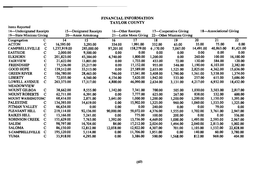### **FINANCIAL INFORMATION TAYLOR COUNTY**

| Items Reported                                     |   |              |                     |           |                       |          |                          |           |           |                 |
|----------------------------------------------------|---|--------------|---------------------|-----------|-----------------------|----------|--------------------------|-----------|-----------|-----------------|
| 14—Undesignated Receipts<br>15—Designated Receipts |   |              | 16 - Other Receipts |           | 17—Cooperative Giving |          | 18—Associational Giving  |           |           |                 |
| 19-State Missions Giving                           |   |              | 20 Annie Armstrong  |           | 21-Lottie Moon Giving |          | 22—Other Missions Giving |           |           |                 |
| Congregation                                       | C | 14           | 15                  | 16        | 17                    | 18       | 19                       | 20        | 21        | $\overline{22}$ |
| <b>ACTON</b>                                       | C | 16,595.00    | 3,293.00            | 334.00    | 1,991.00              | 332.00   | 65.00                    | 35.00     | 75.00     | 0.00            |
| <b>CAMPBELLSVILLE</b>                              | c | 1,237,919.00 | 285,000.00          | 97,201.00 | 158,279.00            | 6,170.00 | 7,067.00                 | 14,491.00 | 40,863.00 | 81,421.00       |
| <b>EASTSIDE</b>                                    | C | 2,000.00     | 9,500.00            | 0.00      | 0.00                  | 0.00     | 0.00                     | 0.00      | 0.00      | 0.00            |
| <b>ELKHORN</b>                                     | C | 201,823.00   | 45,384.00           | 6,740.00  | 1,800.00              | 1,200.00 | 0.00                     | 260.00    | 100.00    | 16,100.00       |
| <b>FAIRVIEW</b>                                    | c | 21,622.00    | 13,801.00           | 0.00      | 1,733.00              | 433.00   | 72.00                    | 130.00    | 584.00    | 120.00          |
| <b>FRIENDSHIP</b>                                  | с | 77,536.00    | 25,217.00           | 0.00      | 17,152.00             | 955.00   | 546.00                   | 1,190.00  | 6,103.00  | 2,382.00        |
| <b>GOOD HOPE</b>                                   | C | 139,512.00   | 33,513.00           | 0.00      | 27,589.00             | 2,653.00 | 1,525.00                 | 2,825.00  | 4,362.00  | 15,636.00       |
| <b>GREEN RIVER</b>                                 | C | 106,780.00   | 28,463.00           | 746.00    | 17,041.00             | 3,408.00 | 1,790.00                 | 1,561.00  | 3,538.00  | 1,374.00        |
| <b>LIBERTY</b>                                     | C | 72,035.00    | 6,560.00            | 4,154.00  | 7,620.00              | 1,942.00 | 533.00                   | 257.00    | 615.00    | 3,686.00        |
| <b>LOWELL AVENUE</b>                               | C | 263,373.00   | 17,317.00           | 4,800.00  | 46,090.00             | 2,634.00 | 3,131.00                 | 4,217.00  | 6,932.00  | 18,432.00       |
| <b>MEADOWVIEW</b>                                  |   |              |                     |           |                       |          |                          |           |           |                 |
| <b>MOUNT GILBOA</b>                                | C | 38,662.00    | 8,555.00            | 1,142.00  | 7,341.00              | 700.00   | 505.00                   | 1,030.00  | 3,503.00  | 2,817.00        |
| <b>MOUNT ROBERTS</b>                               | C | 62,711.00    | 6,391.00            | 0.00      | 7,777.00              | 625.00   | 267.00                   | 838.00    | 532.00    | 600.00          |
| <b>MOUNT WASHINGTONC</b>                           |   | 68,414.00    | 2,871.00            | 3,641.00  | 1,000.00              | 1,200.00 | 1,200.00                 | 1,200.00  | 1,150.00  | 1,395.00        |
| <b>PALESTINE</b>                                   | с | 134,393.00   | 14,619.00           | 0.00      | 15,902.00             | 1,325.00 | 960.00                   | 1,060.00  | 1,533.00  | 1,325.00        |
| PITMAN VALLEY                                      | C | 66,634.00    | 0.00                | 0.00      | 0.00                  | 240.00   | 0.00                     | 0.00      | 79.00     | 0.00            |
| PLEASANT HILL                                      | C | 219,114.00   | 92,136.00           | 90,000.00 | 59,072.00             | 4,376.00 | 1,555.00                 | 1,702.00  | 3,761.00  | 2,947.00        |
| <b>RAIKES HILL</b>                                 | C | 13,166.00    | 5,241.00            | 0.00      | 775.00                | 100.00   | 200.00                   | 0.00      | 0.00      | 336.00          |
| <b>ROBINSON CREEK</b>                              | C | 155,629.00   | 7,763.00            | 1,392.00  | 13,736.00             | 4.469.00 | 1,000.00                 | 1,495.00  | 2,593.00  | 2,967.00        |
| <b>SALEM</b>                                       | c | 98,797.00    | 16,704.00           | 84.00     | 17,212.00             | 2.024.00 | 1,494.00                 | 2,040.00  | 2,813.00  | 5,002.00        |
| <b>SALOMA</b>                                      | C | 86,150.00    | 12,812.00           | 12,058.00 | 12,922.00             | 4,307.00 | 701.00                   | 1,105.00  | 1,532.00  | 22,828.00       |
| <b>S-CAMPBELLSVILLE</b>                            | C | 195.120.00   | 5,114.00            | 0.00      | 11,706.00             | 1,951.00 | 0.00                     | 140.00    | 60.00     | 3,780.00        |
| <b>YUMA</b>                                        | C | 33,918.00    | 4,295.00            | 0.00      | 3,386.00              | 500.00   | 1,568.00                 | 812.00    | 969.00    | 404.00          |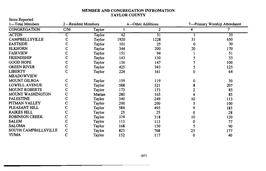### MEMBER AND CONGREGATION INFROMATION **TAYLOR COUNTY**

Items Reported

| 1—Total Members         | 2-Resident Members |        | 4 -- Other Additions |                 |    |                 |  | 7-Primary Worship Attendance |
|-------------------------|--------------------|--------|----------------------|-----------------|----|-----------------|--|------------------------------|
| CONGREGATION            | CM                 | Taylor |                      | $\overline{c}$  | 4  |                 |  |                              |
| <b>ACTON</b>            | С                  | Taylor | $\overline{62}$      | $\overline{31}$ |    | $\overline{35}$ |  |                              |
| <b>CAMPBELLSVILLE</b>   | с                  | Taylor | 1920                 | 1228            | 31 | 650             |  |                              |
| <b>EASTSIDE</b>         |                    | Taylor | 101                  | 25              | 0  | 30              |  |                              |
| <b>ELKHORN</b>          |                    | Taylor | 344                  | 200             | 20 | 170             |  |                              |
| <b>FAIRVIEW</b>         |                    | Taylor | 151                  | 94              |    | 51              |  |                              |
| <b>FRIENDSHIP</b>       | c                  | Taylor | 143                  | 130             |    | 55              |  |                              |
| <b>GOOD HOPE</b>        | c                  | Taylor | 156                  | 147             |    | 100             |  |                              |
| <b>GREEN RIVER</b>      | $\mathbf C$        | Taylor | 425                  | 343             |    | 125             |  |                              |
| <b>LIBERTY</b>          | Ċ                  | Taylor | 224                  | 161             |    | 64              |  |                              |
| <b>MEADOWVIEW</b>       |                    |        |                      |                 |    |                 |  |                              |
| <b>MOUNT GILBOA</b>     | с                  | Taylor | 159                  | 119             | o  | 30              |  |                              |
| <b>LOWELL AVENUE</b>    | c                  | Taylor | 588                  | 521             |    | 207             |  |                              |
| <b>MOUNT ROBERTS</b>    |                    | Taylor | 173                  | 173             |    | 85              |  |                              |
| <b>MOUNT WASHINGTON</b> | c                  | Marian | 280                  | 165             |    | 85              |  |                              |
| <b>PALESTINE</b>        | Ċ                  | Taylor | 340                  | 249             | 10 | 113             |  |                              |
| PITMAN VALLEY           | c                  | Taylor | 200                  | 200             |    | 100             |  |                              |
| PLEASANT HILL           | C                  | Taylor | 584                  | 495             |    | 185             |  |                              |
| <b>RAIKES HILL</b>      | с                  | Taylor | 25                   | 25              |    | 28              |  |                              |
| <b>ROBINSON CREEK</b>   | с                  | Taylor | 374                  | 318             | 10 | 120             |  |                              |
| <b>SALEM</b>            |                    | Taylor | 113                  | 113             |    | 77              |  |                              |
| <b>SALOMA</b>           |                    | Taylor | 168                  | 150             |    | 90              |  |                              |
| SOUTH CAMPBELLSVILLE    | C                  | Taylor | 823                  | 768             | 25 | 177             |  |                              |
| <b>YUMA</b>             | C                  | Taylor | 152                  | 117             | 0  | 40              |  |                              |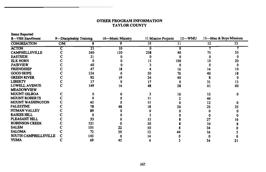### OTHER PROGRAM INFORMATION **TAYLOR COUNTY**

Items Reported

| 8-VBS Enrollment        | 9-Discipleship Training |     | 10-Music Ministry<br>11 Mission Projects |     |     | 13-Men & Boys Missions<br>$12-WMU$ |    |
|-------------------------|-------------------------|-----|------------------------------------------|-----|-----|------------------------------------|----|
| <b>CONGREATION</b>      | CM                      |     |                                          | 10  |     | $12 \overline{ }$                  | 13 |
| <b>ACTON</b>            |                         | 21  | 10                                       |     |     |                                    |    |
| <b>CAMPBELLSVILLE</b>   |                         | 240 | 120                                      | 258 | 40  |                                    |    |
| <b>EASTSIDE</b>         |                         | 21  |                                          |     |     |                                    |    |
| <b>ELK HORN</b>         |                         |     |                                          |     | 100 |                                    |    |
| <b>FAIRVIEW</b>         |                         | 60  |                                          |     |     |                                    |    |
| <b>FRIENDSHIP</b>       |                         | 47  |                                          |     |     | 14                                 |    |
| <b>GOOD HOPE</b>        |                         | 124 |                                          | 50  | 70  | 40                                 |    |
| <b>GREEN RIVER</b>      |                         | 92  |                                          | 24  | 40  |                                    |    |
| <b>LIBERTY</b>          |                         | 37  |                                          |     |     | 31                                 |    |
| <b>LOWELL AVENUE</b>    |                         | 149 |                                          | 48  | 28  | 61                                 | 60 |
| <b>MEADOWVIEW</b>       |                         |     |                                          |     |     |                                    |    |
| <b>MOUNT GILBOA</b>     |                         |     |                                          |     |     | 15                                 |    |
| <b>MOUNT ROBERTS</b>    |                         |     |                                          |     |     | 44                                 |    |
| <b>MOUNT WASHINGTON</b> |                         |     |                                          |     |     | 12                                 |    |
| <b>PALESTINE</b>        |                         | 78  |                                          |     |     | 25                                 |    |
| PITMAN VALLEY           |                         | 89  |                                          |     |     |                                    |    |
| <b>RAIKES HILL</b>      |                         |     |                                          |     |     |                                    |    |
| PLEASANT HILL           |                         | 55  |                                          |     |     | 27                                 |    |
| <b>ROBINSON CREEK</b>   |                         | 121 |                                          | 30  |     | 10                                 |    |
| <b>SALEM</b>            |                         | 101 | 22                                       | 10  |     | 34                                 |    |
| <b>SALOMA</b>           |                         | 72  | 30                                       |     |     | 16                                 |    |
| SOUTH CAMPBELLSVILLE    |                         | 143 |                                          |     |     |                                    |    |
| <b>YUMA</b>             |                         | 69  | 45                                       |     |     | 34                                 |    |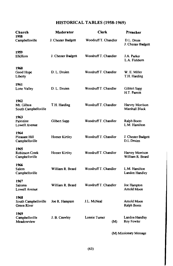## HISTORICAL TABLES (1958-1969)

| Church<br>1958                                     | Moderator          | Clerk                | Preacher                            |
|----------------------------------------------------|--------------------|----------------------|-------------------------------------|
| Campbellsville                                     | J. Chester Badgett | Woodruff T. Chandler | D.L. Druin<br>J. Chester Badgett    |
| 1959<br>ElkHom                                     | J. Chester Badgett | Woodruff T. Chandler | J.A. Parker<br>L.A. Fishburn        |
| 1960<br>Good Hope<br>Liberty                       | D. L. Druien       | Woodruff T. Chandler | W. E. Miller<br>T.H. Harding        |
| 1961<br>Lone Valley                                | D. L. Druien       | Woodruff T. Chandler | Giblert Sapp<br>H.T. Parrott        |
| 1962<br>Mt. Gilboa<br>South Campbellsville         | T.H. Harding       | Woodruff T. Chandler | Harvey Morrison<br>Marshall Black   |
| 1963<br>Palestine<br>Lowell Avenue                 | Gilbert Sapp       | Woodruff T. Chandler | <b>Ralph Boots</b><br>L.M. Hamilton |
| 1964<br>Pleasant Hill<br>Campbellsville            | Homer Kirtley      | Woodruff T. Chandler | J. Chester Badgett<br>D.L.Druien    |
| 1965<br>Robinson Creek<br>Campbellsville           | Homer Kirtley      | Woodruff T. Chandler | Harvey Morrison<br>William R Beard  |
| 1966<br>Salem<br>Campbellsville                    | William R. Beard   | Woodruff T. Chandler | L.M. Hamilton<br>Landon Handley     |
| 1967<br>Saloma<br><b>Lowell Avenue</b>             | William R. Beard   | Woodruff T. Chandler | Joe Hampton<br>Arnold Moon          |
| 1968<br>South Campbellsville<br><b>Green River</b> | Joe R. Hampton     | J.L. McNeal          | Arnold Moon<br>Ralph Boots          |
| 1969<br>Campbellsville<br>Meadowview               | J. B. Crawley      | Lonnie Turner<br>(M) | Landon Handley<br>Roy Fowler        |

(M) Missionary Message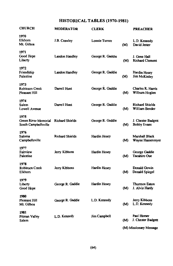## HISTORICAL TABLES (1970-1981)

| <b>CHURCH</b>                                        | MODERATOR              | <b>CLERK</b>        |     | PREACHER                                 |
|------------------------------------------------------|------------------------|---------------------|-----|------------------------------------------|
| 1970<br>Elkhorn<br>Mt. Gilboa                        | J.B. Crawley           | Lonnie Turner       | (M) | L.D. Kennedy<br>David Jester             |
| 1971<br>Good Hope<br>Liberty                         | Landon Handley         | George R. Gaddie    | (M) | J. Gene Hall<br><b>Richard Clement</b>   |
| 1972<br>Friendship<br>Palestine                      | Landon Handley         | George R. Gaddie    | (M) | Hardin Hosey<br><b>Jim McKinley</b>      |
| 1973<br>Robinson Creek<br>Pleasant Hill              | Darrell Hunt           | George R. Gaddie    | (M) | Charles R. Harris<br>Wilburn Hoglen      |
| 1974<br>Salem<br>Lowell Avenue                       | Darrell Hunt           | George R. Gaddie    | (M) | <b>Richard Shields</b><br>William Bender |
| 1975<br>Green River Memorial<br>South Campbellsville | <b>Richard Shields</b> | George R. Gaddie    | (M) | J. Chester Badgett<br><b>Bobby Evans</b> |
| 1976<br>Saloma<br>Campbellsville                     | <b>Richard Shields</b> | <b>Hardin Hosey</b> | (M) | Marshall Black<br>Wayne Hassenmyer       |
| 1977<br>Fairview<br>Palestine                        | Jerry Kibbons          | <b>Hardin Hosey</b> | (M) | George Gaddie<br>Tacahiro Oue            |
| 1978<br><b>Robinson Creek</b><br>Elkhorn             | Jerry Kibbons          | Hardin Hosey        | (M) | Donald Gowin<br>Donald Spiegel           |
| 1979<br>Liberty<br>Good Hope                         | George R. Gaddie       | Hardin Hosey        | (M) | <b>Thurmon Eaton</b><br>J. Alvin Hardy   |
| 1980<br>Pleasant Hill<br>Mt. Gilboa                  | George R. Gaddie       | L.D. Kennedy        | (M) | Jerry Kibbons<br>L.D. Kennedy            |
| 1981<br>Pitman Valley<br>Salem                       | L.D. Kennedy           | Jim Campbell        | (M) | Paul Homer<br>J. Chester Badgett         |
|                                                      |                        |                     |     | (M) Missionary Message                   |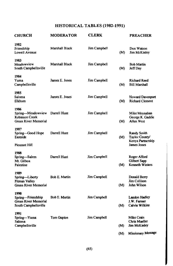## HISTORICAL TABLES (1982-1991)

| <b>CHURCH</b>                                                             | <b>MODERATOR</b>     | <b>CLERK</b> |              | <b>PREACHER</b>                                           |
|---------------------------------------------------------------------------|----------------------|--------------|--------------|-----------------------------------------------------------|
| 1982<br>Friendship<br>Lowell Avenue                                       | Marshall Black       | Jim Campbell | (M)          | Don Watson<br><b>Jim McKinley</b>                         |
| 1983<br>Meadowview<br>South Campbellsville                                | Marshall Black       | Jim Campbell | (M)          | <b>Bob Martin</b><br>Jeff Day                             |
| 1984<br>Yuma<br>Campbellsville                                            | James E. Jones       | Jim Campbell | (M)          | <b>Richard Reed</b><br><b>Bill Marshall</b>               |
| 1985<br>Saloma<br>Elkhorn                                                 | James E. Jones       | Jim Campbell | (M)          | <b>Howard Davenport</b><br><b>Richard Clement</b>         |
| 1986<br>Spring-Meadowview<br>Robinson Creek<br>Green River Memorial       | Darrell Hunt         | Jim Campbell | (M)          | Mike Moynahan<br>George R. Gaddie<br>Allen West           |
| 1987<br>Spring-Good Hope<br>Eastside                                      | Darrell Hunt         | Jim Campbell | (M)          | <b>Randy Smith</b><br>Taylor County/<br>Kenya Partnership |
| <b>Pleasant Hill</b>                                                      |                      |              |              | James Jones                                               |
| 1988<br>Spring-Salem<br>Mt. Gilboa<br>Palestine                           | Darrell Hunt         | Jim Campbell | (M)          | Roger Alford<br>Gilbert Sapp<br><b>Kenneth Winters</b>    |
| 1989<br>Spring-Liberty<br><b>Pitman Valley</b><br>Green River Memorial    | Bob E. Martin        | Jim Campbell | (M)          | Donald Berry<br>Jim Collison<br>John Wilson               |
| 1990<br>Spring-Friendship<br>Green River Memorial<br>South Campbellsville | <b>Bob E. Martin</b> | Jim Campbell | (M)          | Landon Hadley<br>J.W. Farmer<br><b>Calvin Wilkins</b>     |
| 1991<br>Spring-Yuma<br>Saloma<br>Campbellsville                           | Tom Gupton           | Jim Campbell | (M)          | Mike Crain<br>Chris Mueller<br><b>Jim McKinley</b>        |
|                                                                           |                      |              | $\mathbf{a}$ | Missionary Message                                        |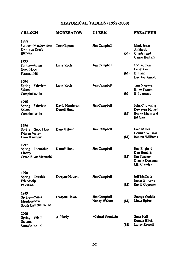## HISTORICAL TABLES (1992-2000)

| <b>CHURCH</b>                                                       | MODERATOR                       | <b>CLERK</b>                  |     | <b>PREACHER</b>                                                                   |
|---------------------------------------------------------------------|---------------------------------|-------------------------------|-----|-----------------------------------------------------------------------------------|
| 1992<br>Spring-Meadowview<br><b>Robinson Creek</b><br><b>Elkhom</b> | Tom Gupton                      | Jim Campbell                  | (M) | Mark Jones<br>Al Hardy<br>Charles and<br>Carrie Hedrick                           |
| 1993<br>Spring-Acton<br>Good Hope<br><b>Pleasant Hill</b>           | Larry Koch                      | Jim Campbell                  | (M) | J.V. Mullen<br>Larry Koch<br><b>Bill</b> and<br>Laverne Arnold                    |
| 1994<br>Spring-Fairview<br>Salem<br>Campbellsville                  | Larry Koch                      | Jim Campbell                  | (M) | Tim Najpaver<br><b>Brian Fannin</b><br><b>Bill Jaggers</b>                        |
| 1995<br>Spring-Fairview<br>Salem<br>Campbellsville                  | David Henderson<br>Darrell Hunt | Jim Campbell                  | (M) | John Chowning<br>Dewayne Howell<br>Becky Mann and<br>Ed Garr                      |
| 1996<br>Spring-Good Hope<br><b>Pitman Valley</b><br>Lowell Avenue   | Darrell Hunt                    | Jim Campbell                  |     | <b>Fred Miller</b><br>Herman Wilkins<br>(M) Benton Williams                       |
| 1997<br>Spring-Friendship<br>Liberty<br>Green River Memorial        | Darrell Hunt                    | Jim Campbell                  | (M) | Ray England<br>Dan Hunt, Sr.<br>Jim Strange,<br>Dianna Derringer,<br>J.B. Crawley |
| 1998<br>Spring-Eastside<br>Friendship<br>Palestine                  | Dwayne Howell                   | Jim Campbell                  | (M) | <b>Jeff McCarty</b><br>James E. Jones<br>David Coppage                            |
| 1999<br>Spring-Yuma<br>Meadowview<br>South Campbellsville           | Dwayne Howell                   | Jim Campbell<br>Nancy Walters | (M) | George Gaddie<br>Linda Egbert                                                     |
| 2000<br>Spring-Salem<br>Saloma<br>Campbellsville                    | Al Hardy                        | Michael Goodwin               | (M) | Gene Hall<br>Donnie Blick<br>Larrry Rowell                                        |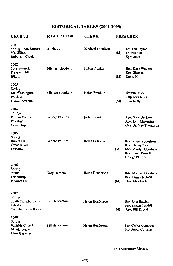### HISTORICAL TABLES (2001-2008)

| <b>CHURCH</b>                                                               | <b>MODERATOR</b>      | <b>CLERK</b>    | <b>PREACHER</b> |                                                                                                         |
|-----------------------------------------------------------------------------|-----------------------|-----------------|-----------------|---------------------------------------------------------------------------------------------------------|
| 2001<br>Spring—Mt. Roberts<br>Mt. Gilboa<br><b>Robinson Creek</b>           | Al Hardy              | Michael Goodwin | (M)             | Dr. Ted Taylor<br>Dr. Nikolai<br>Syrovatka                                                              |
| 2002<br>Spring-Acton<br>Pleasant Hill<br>Elkhorn                            | Michael Goodwin       | Helen Franklin  | (M)             | Bro. Dave Walters<br><b>Ron Gleaves</b><br>David Hill                                                   |
| 2003<br>Spring—<br>Mt. Washington<br>Faiview<br>Lowell Avenue               | Michael Goodwin       | Helen Franklin  | (M)             | Jimmie York<br>Skip Alexander<br>John Kelly                                                             |
| 2004<br>Spring-<br>Pitman Valley<br>Palestine<br>Good Hope                  | George Phillips       | Helen Franklin  |                 | Rev. Gary Durham<br>Rev. John Chowning<br>(M) Dr. Van Thompson                                          |
| 2005<br>Spring<br>Raikes Hill<br>Green River<br>Fairview                    | George Phillips       | Helen Franklin  | (M)             | Rev. Roger Robertson<br>Rev. Danny Pace<br>Mrs. Marilyn Goodwin<br>Rev. Larry Rowell<br>George Phillips |
| 2006<br>Spring<br>Yuma<br>Friendship<br>Pleasant Hill                       | Gary Durham           | Helen Henderson | (M)             | Rev. Michael Goodwin<br>Rev. Danny Nelson<br>Bro. Alan Funk                                             |
| 2007<br>Spring<br>South Campbellsville<br>Liberty<br>Campbellsville Baptist | <b>Bill Henderson</b> | Helen Henderson | (M)             | Bro. John Batcher<br>Bro. Shawn Caudill<br>Rev. Bill Egbert                                             |
| 2008<br><b>Spring</b><br>Eastside Church<br>Meadowview<br>Lowell Avenue     | <b>Bill Henderson</b> | Helen Henderson |                 | Bro. Carlos Compton<br>Bro. James Collison                                                              |